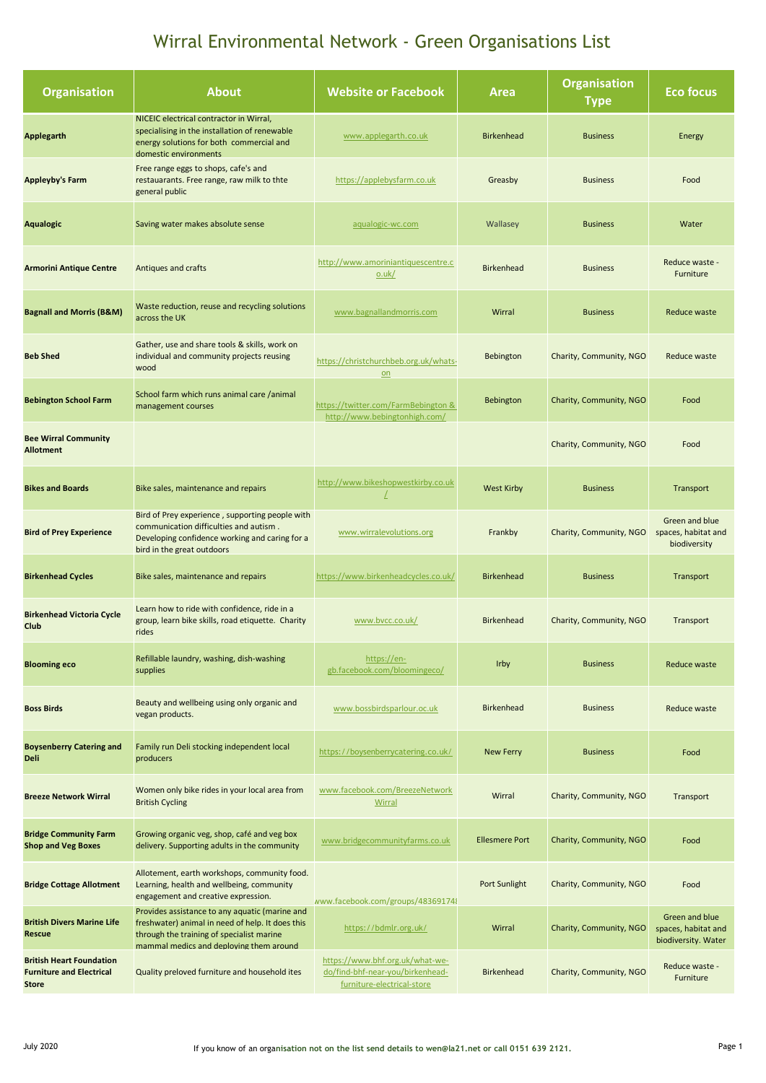| <b>Organisation</b>                                                                | <b>About</b>                                                                                                                                                                               | <b>Website or Facebook</b>                                                                        | Area                  | <b>Organisation</b><br><b>Type</b> | Eco focus                                                    |
|------------------------------------------------------------------------------------|--------------------------------------------------------------------------------------------------------------------------------------------------------------------------------------------|---------------------------------------------------------------------------------------------------|-----------------------|------------------------------------|--------------------------------------------------------------|
| <b>Applegarth</b>                                                                  | NICEIC electrical contractor in Wirral,<br>specialising in the installation of renewable<br>energy solutions for both commercial and<br>domestic environments                              | www.applegarth.co.uk                                                                              | <b>Birkenhead</b>     | <b>Business</b>                    | Energy                                                       |
| <b>Appleyby's Farm</b>                                                             | Free range eggs to shops, cafe's and<br>restauarants. Free range, raw milk to thte<br>general public                                                                                       | https://applebysfarm.co.uk                                                                        | Greasby               | <b>Business</b>                    | Food                                                         |
| <b>Aqualogic</b>                                                                   | Saving water makes absolute sense                                                                                                                                                          | aqualogic-wc.com                                                                                  | Wallasey              | <b>Business</b>                    | Water                                                        |
| <b>Armorini Antique Centre</b>                                                     | Antiques and crafts                                                                                                                                                                        | http://www.amoriniantiquescentre.c<br>o.uk/                                                       | <b>Birkenhead</b>     | <b>Business</b>                    | Reduce waste -<br>Furniture                                  |
| <b>Bagnall and Morris (B&amp;M)</b>                                                | Waste reduction, reuse and recycling solutions<br>across the UK                                                                                                                            | www.bagnallandmorris.com                                                                          | Wirral                | <b>Business</b>                    | Reduce waste                                                 |
| <b>Beb Shed</b>                                                                    | Gather, use and share tools & skills, work on<br>individual and community projects reusing<br>wood                                                                                         | https://christchurchbeb.org.uk/whats-<br>on                                                       | <b>Bebington</b>      | Charity, Community, NGO            | Reduce waste                                                 |
| <b>Bebington School Farm</b>                                                       | School farm which runs animal care /animal<br>management courses                                                                                                                           | https://twitter.com/FarmBebington &<br>http://www.bebingtonhigh.com/                              | <b>Bebington</b>      | Charity, Community, NGO            | Food                                                         |
| <b>Bee Wirral Community</b><br><b>Allotment</b>                                    |                                                                                                                                                                                            |                                                                                                   |                       | Charity, Community, NGO            | Food                                                         |
| <b>Bikes and Boards</b>                                                            | Bike sales, maintenance and repairs                                                                                                                                                        | http://www.bikeshopwestkirby.co.uk                                                                | <b>West Kirby</b>     | <b>Business</b>                    | Transport                                                    |
| <b>Bird of Prey Experience</b>                                                     | Bird of Prey experience, supporting people with<br>communication difficulties and autism.<br>Developing confidence working and caring for a<br>bird in the great outdoors                  | www.wirralevolutions.org                                                                          | Frankby               | Charity, Community, NGO            | Green and blue<br>spaces, habitat and<br>biodiversity        |
| <b>Birkenhead Cycles</b>                                                           | Bike sales, maintenance and repairs                                                                                                                                                        | https://www.birkenheadcycles.co.uk/                                                               | <b>Birkenhead</b>     | <b>Business</b>                    | Transport                                                    |
| <b>Birkenhead Victoria Cycle</b><br>Club                                           | Learn how to ride with confidence, ride in a<br>group, learn bike skills, road etiquette. Charity<br>rides                                                                                 | www.bvcc.co.uk/                                                                                   | <b>Birkenhead</b>     | Charity, Community, NGO            | Transport                                                    |
| <b>Blooming eco</b>                                                                | Refillable laundry, washing, dish-washing<br>supplies                                                                                                                                      | https://en-<br>gb.facebook.com/bloomingeco/                                                       | Irby                  | <b>Business</b>                    | Reduce waste                                                 |
| <b>Boss Birds</b>                                                                  | Beauty and wellbeing using only organic and<br>vegan products.                                                                                                                             | www.bossbirdsparlour.oc.uk                                                                        | <b>Birkenhead</b>     | <b>Business</b>                    | Reduce waste                                                 |
| <b>Boysenberry Catering and</b><br><b>Deli</b>                                     | Family run Deli stocking independent local<br>producers                                                                                                                                    | https://boysenberrycatering.co.uk/                                                                | <b>New Ferry</b>      | <b>Business</b>                    | Food                                                         |
| <b>Breeze Network Wirral</b>                                                       | Women only bike rides in your local area from<br><b>British Cycling</b>                                                                                                                    | www.facebook.com/BreezeNetwork<br>Wirral                                                          | Wirral                | Charity, Community, NGO            | Transport                                                    |
| <b>Bridge Community Farm</b><br><b>Shop and Veg Boxes</b>                          | Growing organic veg, shop, café and veg box<br>delivery. Supporting adults in the community                                                                                                | www.bridgecommunityfarms.co.uk                                                                    | <b>Ellesmere Port</b> | Charity, Community, NGO            | Food                                                         |
| <b>Bridge Cottage Allotment</b>                                                    | Allotement, earth workshops, community food.<br>Learning, health and wellbeing, community<br>engagement and creative expression.                                                           | www.facebook.com/groups/483691748                                                                 | Port Sunlight         | Charity, Community, NGO            | Food                                                         |
| <b>British Divers Marine Life</b><br><b>Rescue</b>                                 | Provides assistance to any aquatic (marine and<br>freshwater) animal in need of help. It does this<br>through the training of specialist marine<br>mammal medics and deploying them around | https://bdmlr.org.uk/                                                                             | Wirral                | Charity, Community, NGO            | Green and blue<br>spaces, habitat and<br>biodiversity. Water |
| <b>British Heart Foundation</b><br><b>Furniture and Electrical</b><br><b>Store</b> | Quality preloved furniture and household ites                                                                                                                                              | https://www.bhf.org.uk/what-we-<br>do/find-bhf-near-you/birkenhead-<br>furniture-electrical-store | <b>Birkenhead</b>     | Charity, Community, NGO            | Reduce waste -<br>Furniture                                  |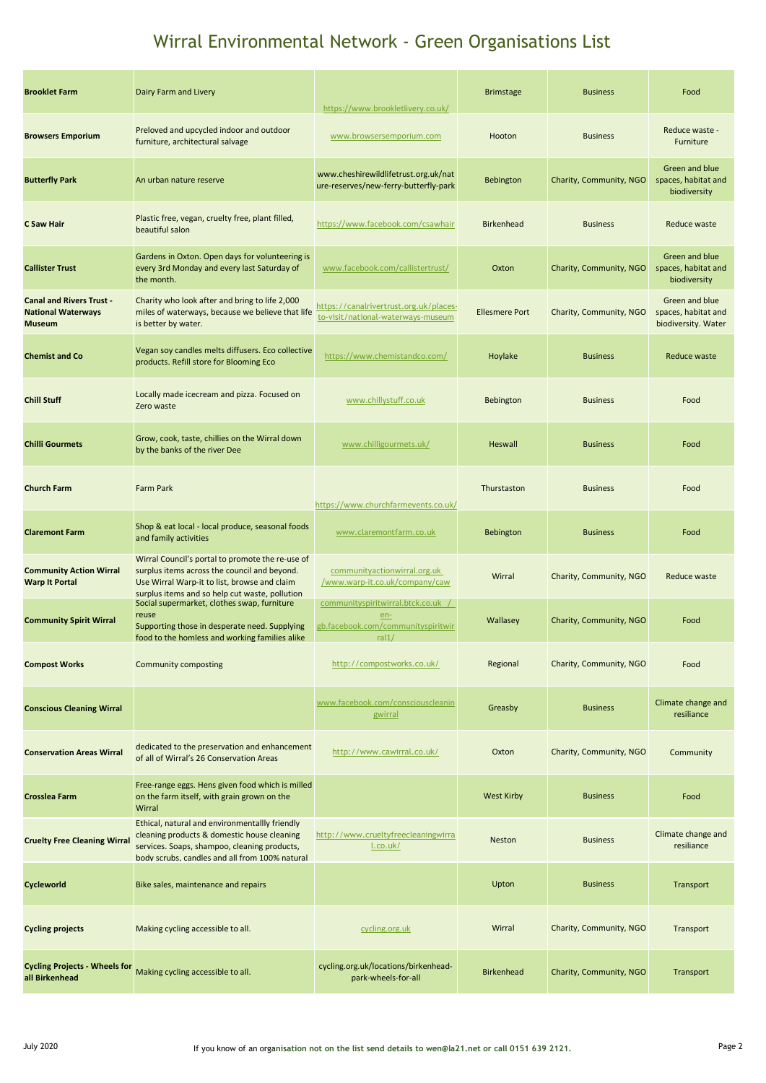| <b>Brooklet Farm</b>                                                          | Dairy Farm and Livery                                                                                                                                                                              | https://www.brookletlivery.co.uk/                                                        | <b>Brimstage</b>      | <b>Business</b>         | Food                                                         |
|-------------------------------------------------------------------------------|----------------------------------------------------------------------------------------------------------------------------------------------------------------------------------------------------|------------------------------------------------------------------------------------------|-----------------------|-------------------------|--------------------------------------------------------------|
| <b>Browsers Emporium</b>                                                      | Preloved and upcycled indoor and outdoor<br>furniture, architectural salvage                                                                                                                       | www.browsersemporium.com                                                                 | Hooton                | <b>Business</b>         | Reduce waste -<br>Furniture                                  |
| <b>Butterfly Park</b>                                                         | An urban nature reserve                                                                                                                                                                            | www.cheshirewildlifetrust.org.uk/nat<br>ure-reserves/new-ferry-butterfly-park            | <b>Bebington</b>      | Charity, Community, NGO | Green and blue<br>spaces, habitat and<br>biodiversity        |
| C Saw Hair                                                                    | Plastic free, vegan, cruelty free, plant filled,<br>beautiful salon                                                                                                                                | https://www.facebook.com/csawhair                                                        | <b>Birkenhead</b>     | <b>Business</b>         | Reduce waste                                                 |
| <b>Callister Trust</b>                                                        | Gardens in Oxton. Open days for volunteering is<br>every 3rd Monday and every last Saturday of<br>the month.                                                                                       | www.facebook.com/callistertrust/                                                         | Oxton                 | Charity, Community, NGO | Green and blue<br>spaces, habitat and<br>biodiversity        |
| <b>Canal and Rivers Trust -</b><br><b>National Waterways</b><br><b>Museum</b> | Charity who look after and bring to life 2,000<br>miles of waterways, because we believe that life<br>is better by water.                                                                          | https://canalrivertrust.org.uk/places-<br>to-visit/national-waterways-museum             | <b>Ellesmere Port</b> | Charity, Community, NGO | Green and blue<br>spaces, habitat and<br>biodiversity. Water |
| <b>Chemist and Co</b>                                                         | Vegan soy candles melts diffusers. Eco collective<br>products. Refill store for Blooming Eco                                                                                                       | https://www.chemistandco.com/                                                            | Hoylake               | <b>Business</b>         | <b>Reduce waste</b>                                          |
| <b>Chill Stuff</b>                                                            | Locally made icecream and pizza. Focused on<br>Zero waste                                                                                                                                          | www.chillystuff.co.uk                                                                    | <b>Bebington</b>      | <b>Business</b>         | Food                                                         |
| <b>Chilli Gourmets</b>                                                        | Grow, cook, taste, chillies on the Wirral down<br>by the banks of the river Dee                                                                                                                    | www.chilligourmets.uk/                                                                   | <b>Heswall</b>        | <b>Business</b>         | Food                                                         |
| <b>Church Farm</b>                                                            | <b>Farm Park</b>                                                                                                                                                                                   | https://www.churchfarmevents.co.uk/                                                      | Thurstaston           | <b>Business</b>         | Food                                                         |
| <b>Claremont Farm</b>                                                         | Shop & eat local - local produce, seasonal foods<br>and family activities                                                                                                                          | www.claremontfarm.co.uk                                                                  | <b>Bebington</b>      | <b>Business</b>         | Food                                                         |
| <b>Community Action Wirral</b><br><b>Warp It Portal</b>                       | Wirral Council's portal to promote the re-use of<br>surplus items across the council and beyond.<br>Use Wirral Warp-it to list, browse and claim<br>surplus items and so help cut waste, pollution | communityactionwirral.org.uk<br>/www.warp-it.co.uk/company/caw                           | Wirral                | Charity, Community, NGO | Reduce waste                                                 |
| <b>Community Spirit Wirral</b>                                                | Social supermarket, clothes swap, furniture<br>reuse<br>Supporting those in desperate need. Supplying<br>food to the homless and working families alike                                            | communityspiritwirral.btck.co.uk<br>$en-$<br>gb.facebook.com/communityspiritwir<br>ral1/ | Wallasey              | Charity, Community, NGO | Food                                                         |
| <b>Compost Works</b>                                                          | <b>Community composting</b>                                                                                                                                                                        | http://compostworks.co.uk/                                                               | Regional              | Charity, Community, NGO | Food                                                         |
| <b>Conscious Cleaning Wirral</b>                                              |                                                                                                                                                                                                    | www.facebook.com/consciouscleanin<br>gwirral                                             | Greasby               | <b>Business</b>         | Climate change and<br>resiliance                             |
| <b>Conservation Areas Wirral</b>                                              | dedicated to the preservation and enhancement<br>of all of Wirral's 26 Conservation Areas                                                                                                          | http://www.cawirral.co.uk/                                                               | Oxton                 | Charity, Community, NGO | Community                                                    |
| <b>Crosslea Farm</b>                                                          | Free-range eggs. Hens given food which is milled<br>on the farm itself, with grain grown on the<br>Wirral                                                                                          |                                                                                          | <b>West Kirby</b>     | <b>Business</b>         | Food                                                         |
| <b>Cruelty Free Cleaning Wirral</b>                                           | Ethical, natural and environmentallly friendly<br>cleaning products & domestic house cleaning<br>services. Soaps, shampoo, cleaning products,<br>body scrubs, candles and all from 100% natural    | http://www.crueltyfreecleaningwirra<br>l.co.uk/                                          | Neston                | <b>Business</b>         | Climate change and<br>resiliance                             |
| Cycleworld                                                                    | Bike sales, maintenance and repairs                                                                                                                                                                |                                                                                          | Upton                 | <b>Business</b>         | Transport                                                    |
| <b>Cycling projects</b>                                                       | Making cycling accessible to all.                                                                                                                                                                  | cycling.org.uk                                                                           | Wirral                | Charity, Community, NGO | Transport                                                    |
| <b>Cycling Projects - Wheels for</b><br>all Birkenhead                        | Making cycling accessible to all.                                                                                                                                                                  | cycling.org.uk/locations/birkenhead-<br>park-wheels-for-all                              | <b>Birkenhead</b>     | Charity, Community, NGO | Transport                                                    |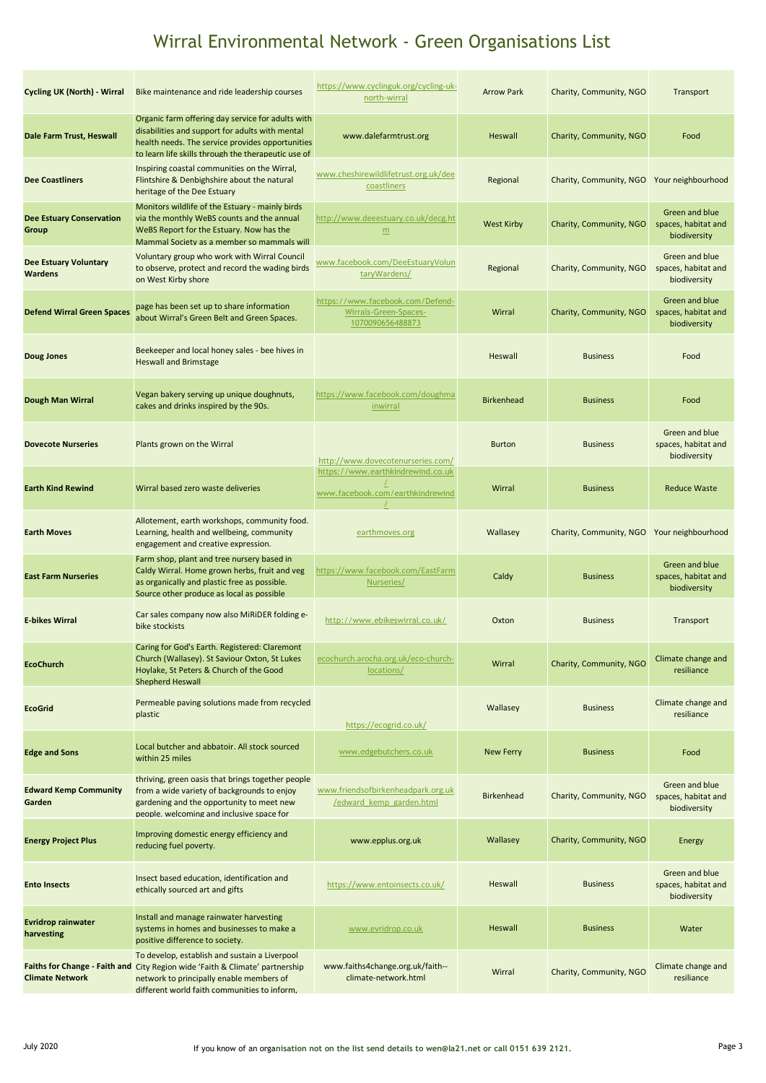| <b>Cycling UK (North) - Wirral</b>             | Bike maintenance and ride leadership courses                                                                                                                                                                              | https://www.cyclinguk.org/cycling-uk-<br>north-wirral                         | <b>Arrow Park</b> | Charity, Community, NGO | Transport                                                    |
|------------------------------------------------|---------------------------------------------------------------------------------------------------------------------------------------------------------------------------------------------------------------------------|-------------------------------------------------------------------------------|-------------------|-------------------------|--------------------------------------------------------------|
| Dale Farm Trust, Heswall                       | Organic farm offering day service for adults with<br>disabilities and support for adults with mental<br>health needs. The service provides opportunities<br>to learn life skills through the therapeutic use of           | www.dalefarmtrust.org                                                         | Heswall           | Charity, Community, NGO | Food                                                         |
| <b>Dee Coastliners</b>                         | Inspiring coastal communities on the Wirral,<br>Flintshire & Denbighshire about the natural<br>heritage of the Dee Estuary                                                                                                | www.cheshirewildlifetrust.org.uk/dee<br>coastliners                           | Regional          | Charity, Community, NGO | Your neighbourhood                                           |
| <b>Dee Estuary Conservation</b><br>Group       | Monitors wildlife of the Estuary - mainly birds<br>via the monthly WeBS counts and the annual<br>WeBS Report for the Estuary. Now has the<br>Mammal Society as a member so mammals will                                   | http://www.deeestuary.co.uk/decg.ht<br>m                                      | <b>West Kirby</b> | Charity, Community, NGO | Green and blue<br>spaces, habitat and<br>biodiversity        |
| <b>Dee Estuary Voluntary</b><br><b>Wardens</b> | Voluntary group who work with Wirral Council<br>to observe, protect and record the wading birds<br>on West Kirby shore                                                                                                    | www.facebook.com/DeeEstuaryVolun<br>taryWardens/                              | Regional          | Charity, Community, NGO | Green and blue<br>spaces, habitat and<br>biodiversity        |
| <b>Defend Wirral Green Spaces</b>              | page has been set up to share information<br>about Wirral's Green Belt and Green Spaces.                                                                                                                                  | https://www.facebook.com/Defend-<br>Wirrals-Green-Spaces-<br>1070090656488873 | Wirral            | Charity, Community, NGO | Green and blue<br>spaces, habitat and<br>biodiversity        |
| <b>Doug Jones</b>                              | Beekeeper and local honey sales - bee hives in<br><b>Heswall and Brimstage</b>                                                                                                                                            |                                                                               | Heswall           | <b>Business</b>         | Food                                                         |
| Dough Man Wirral                               | Vegan bakery serving up unique doughnuts,<br>cakes and drinks inspired by the 90s.                                                                                                                                        | https://www.facebook.com/doughma<br><i>inwirral</i>                           | <b>Birkenhead</b> | <b>Business</b>         | Food                                                         |
| <b>Dovecote Nurseries</b>                      | Plants grown on the Wirral                                                                                                                                                                                                | http://www.dovecotenurseries.com/                                             | <b>Burton</b>     | <b>Business</b>         | Green and blue<br>spaces, habitat and<br>biodiversity        |
| <b>Earth Kind Rewind</b>                       | Wirral based zero waste deliveries                                                                                                                                                                                        | https://www.earthkindrewind.co.uk<br>www.facebook.com/earthkindrewind         | Wirral            | <b>Business</b>         | <b>Reduce Waste</b>                                          |
| <b>Earth Moves</b>                             | Allotement, earth workshops, community food.<br>Learning, health and wellbeing, community<br>engagement and creative expression.                                                                                          | earthmoves.org                                                                | Wallasey          | Charity, Community, NGO | Your neighbourhood                                           |
| <b>East Farm Nurseries</b>                     | Farm shop, plant and tree nursery based in<br>Caldy Wirral. Home grown herbs, fruit and veg<br>as organically and plastic free as possible.<br>Source other produce as local as possible                                  | https://www.facebook.com/EastFarm<br>Nurseries/                               | Caldy             | <b>Business</b>         | <b>Green and blue</b><br>spaces, habitat and<br>biodiversity |
| <b>E-bikes Wirral</b>                          | Car sales company now also MiRIDER folding e-<br>bike stockists                                                                                                                                                           | http://www.ebikeswirral.co.uk/                                                | Oxton             | <b>Business</b>         | Transport                                                    |
| <b>EcoChurch</b>                               | Caring for God's Earth. Registered: Claremont<br>Church (Wallasey). St Saviour Oxton, St Lukes<br>Hoylake, St Peters & Church of the Good<br><b>Shepherd Heswall</b>                                                      | ecochurch.arocha.org.uk/eco-church-<br>locations/                             | Wirral            | Charity, Community, NGO | Climate change and<br>resiliance                             |
| <b>EcoGrid</b>                                 | Permeable paving solutions made from recycled<br>plastic                                                                                                                                                                  | https://ecogrid.co.uk/                                                        | Wallasey          | <b>Business</b>         | Climate change and<br>resiliance                             |
| <b>Edge and Sons</b>                           | Local butcher and abbatoir. All stock sourced<br>within 25 miles                                                                                                                                                          | www.edgebutchers.co.uk                                                        | <b>New Ferry</b>  | <b>Business</b>         | Food                                                         |
| <b>Edward Kemp Community</b><br>Garden         | thriving, green oasis that brings together people<br>from a wide variety of backgrounds to enjoy<br>gardening and the opportunity to meet new<br>people. welcoming and inclusive space for                                | www.friendsofbirkenheadpark.org.uk<br>/edward kemp garden.html                | <b>Birkenhead</b> | Charity, Community, NGO | Green and blue<br>spaces, habitat and<br>biodiversity        |
| <b>Energy Project Plus</b>                     | Improving domestic energy efficiency and<br>reducing fuel poverty.                                                                                                                                                        | www.epplus.org.uk                                                             | Wallasey          | Charity, Community, NGO | Energy                                                       |
| <b>Ento Insects</b>                            | Insect based education, identification and<br>ethically sourced art and gifts                                                                                                                                             | https://www.entoinsects.co.uk/                                                | Heswall           | <b>Business</b>         | Green and blue<br>spaces, habitat and<br>biodiversity        |
| <b>Evridrop rainwater</b><br>harvesting        | Install and manage rainwater harvesting<br>systems in homes and businesses to make a<br>positive difference to society.                                                                                                   | www.evridrop.co.uk                                                            | Heswall           | <b>Business</b>         | Water                                                        |
| <b>Climate Network</b>                         | To develop, establish and sustain a Liverpool<br>Faiths for Change - Faith and City Region wide 'Faith & Climate' partnership<br>network to principally enable members of<br>different world faith communities to inform, | www.faiths4change.org.uk/faith--<br>climate-network.html                      | Wirral            | Charity, Community, NGO | Climate change and<br>resiliance                             |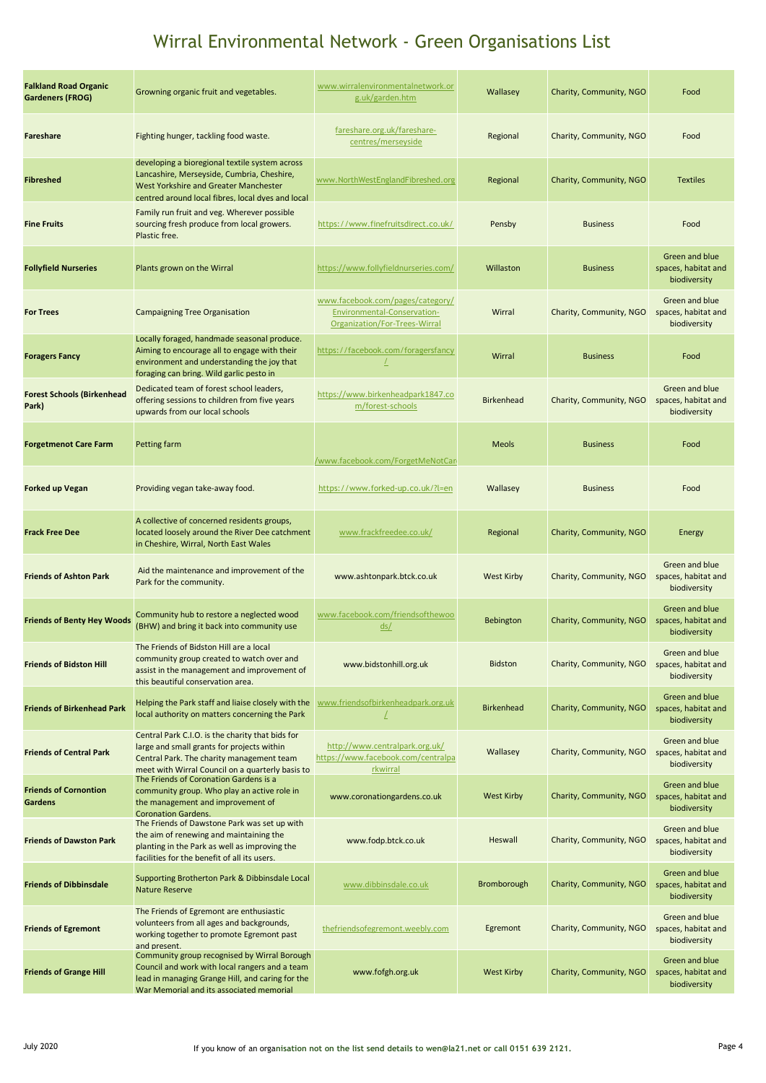| fareshare.org.uk/fareshare-<br>Fighting hunger, tackling food waste.<br>Regional<br>Charity, Community, NGO<br>Fareshare<br>centres/merseyside                                                                                                                                                                                                               | Food                                                  |
|--------------------------------------------------------------------------------------------------------------------------------------------------------------------------------------------------------------------------------------------------------------------------------------------------------------------------------------------------------------|-------------------------------------------------------|
| developing a bioregional textile system across<br>Lancashire, Merseyside, Cumbria, Cheshire,<br>www.NorthWestEnglandFibreshed.org<br>Regional<br>Charity, Community, NGO<br><b>Fibreshed</b><br>West Yorkshire and Greater Manchester<br>centred around local fibres, local dyes and local                                                                   | <b>Textiles</b>                                       |
| Family run fruit and veg. Wherever possible<br>sourcing fresh produce from local growers.<br>https://www.finefruitsdirect.co.uk/<br>Pensby<br><b>Business</b><br><b>Fine Fruits</b><br>Plastic free.                                                                                                                                                         | Food                                                  |
| https://www.follyfieldnurseries.com/<br><b>Follyfield Nurseries</b><br>Plants grown on the Wirral<br>Willaston<br><b>Business</b>                                                                                                                                                                                                                            | Green and blue<br>spaces, habitat and<br>biodiversity |
| www.facebook.com/pages/category/<br>Wirral<br>Charity, Community, NGO<br>Environmental-Conservation-<br><b>For Trees</b><br><b>Campaigning Tree Organisation</b><br>Organization/For-Trees-Wirral                                                                                                                                                            | Green and blue<br>spaces, habitat and<br>biodiversity |
| Locally foraged, handmade seasonal produce.<br>Aiming to encourage all to engage with their<br>https://facebook.com/foragersfancy<br>Wirral<br><b>Foragers Fancy</b><br><b>Business</b><br>$\perp$<br>environment and understanding the joy that<br>foraging can bring. Wild garlic pesto in                                                                 | Food                                                  |
| Dedicated team of forest school leaders,<br><b>Forest Schools (Birkenhead</b><br>https://www.birkenheadpark1847.co<br><b>Birkenhead</b><br>offering sessions to children from five years<br>Charity, Community, NGO<br>m/forest-schools<br>Park)<br>upwards from our local schools                                                                           | Green and blue<br>spaces, habitat and<br>biodiversity |
| <b>Meols</b><br><b>Forgetmenot Care Farm</b><br>Petting farm<br><b>Business</b><br>/www.facebook.com/ForgetMeNotCari                                                                                                                                                                                                                                         | Food                                                  |
| Providing vegan take-away food.<br>https://www.forked-up.co.uk/?l=en<br><b>Forked up Vegan</b><br>Wallasey<br><b>Business</b>                                                                                                                                                                                                                                | Food                                                  |
| A collective of concerned residents groups,<br>located loosely around the River Dee catchment<br>www.frackfreedee.co.uk/<br>Regional<br>Charity, Community, NGO<br><b>Frack Free Dee</b><br>in Cheshire, Wirral, North East Wales                                                                                                                            | Energy                                                |
| Aid the maintenance and improvement of the<br><b>Friends of Ashton Park</b><br>www.ashtonpark.btck.co.uk<br><b>West Kirby</b><br>Charity, Community, NGO<br>Park for the community.                                                                                                                                                                          | Green and blue<br>spaces, habitat and<br>biodiversity |
| Community hub to restore a neglected wood<br>www.facebook.com/friendsofthewoo<br><b>Friends of Benty Hey Woods</b><br>Charity, Community, NGO<br>Bebington<br>(BHW) and bring it back into community use<br>ds/                                                                                                                                              | Green and blue<br>spaces, habitat and<br>biodiversity |
| The Friends of Bidston Hill are a local<br>community group created to watch over and<br><b>Friends of Bidston Hill</b><br>www.bidstonhill.org.uk<br><b>Bidston</b><br>Charity, Community, NGO<br>assist in the management and improvement of<br>this beautiful conservation area.                                                                            | Green and blue<br>spaces, habitat and<br>biodiversity |
| www.friendsofbirkenheadpark.org.uk<br>Helping the Park staff and liaise closely with the<br><b>Friends of Birkenhead Park</b><br><b>Birkenhead</b><br>Charity, Community, NGO<br>local authority on matters concerning the Park                                                                                                                              | Green and blue<br>spaces, habitat and<br>biodiversity |
| Central Park C.I.O. is the charity that bids for<br>http://www.centralpark.org.uk/<br>large and small grants for projects within<br><b>Friends of Central Park</b><br>Wallasey<br>Charity, Community, NGO<br>https://www.facebook.com/centralpa<br>Central Park. The charity management team<br>meet with Wirral Council on a quarterly basis to<br>rkwirral | Green and blue<br>spaces, habitat and<br>biodiversity |
| The Friends of Coronation Gardens is a<br><b>Friends of Cornontion</b><br>community group. Who play an active role in<br>www.coronationgardens.co.uk<br><b>West Kirby</b><br>Charity, Community, NGO<br><b>Gardens</b><br>the management and improvement of<br><b>Coronation Gardens.</b>                                                                    | Green and blue<br>spaces, habitat and<br>biodiversity |
| The Friends of Dawstone Park was set up with<br>the aim of renewing and maintaining the<br><b>Friends of Dawston Park</b><br>www.fodp.btck.co.uk<br>Heswall<br>Charity, Community, NGO<br>planting in the Park as well as improving the<br>facilities for the benefit of all its users.                                                                      | Green and blue<br>spaces, habitat and<br>biodiversity |
| Supporting Brotherton Park & Dibbinsdale Local<br><b>Friends of Dibbinsdale</b><br>www.dibbinsdale.co.uk<br><b>Bromborough</b><br>Charity, Community, NGO<br><b>Nature Reserve</b>                                                                                                                                                                           | Green and blue<br>spaces, habitat and<br>biodiversity |
| The Friends of Egremont are enthusiastic<br>volunteers from all ages and backgrounds,<br>thefriendsofegremont.weebly.com<br>Egremont<br>Charity, Community, NGO<br><b>Friends of Egremont</b><br>working together to promote Egremont past<br>and present.                                                                                                   | Green and blue<br>spaces, habitat and<br>biodiversity |
| Community group recognised by Wirral Borough<br>Council and work with local rangers and a team<br><b>West Kirby</b><br>Charity, Community, NGO<br><b>Friends of Grange Hill</b><br>www.fofgh.org.uk<br>lead in managing Grange Hill, and caring for the<br>War Memorial and its associated memorial                                                          | Green and blue<br>spaces, habitat and<br>biodiversity |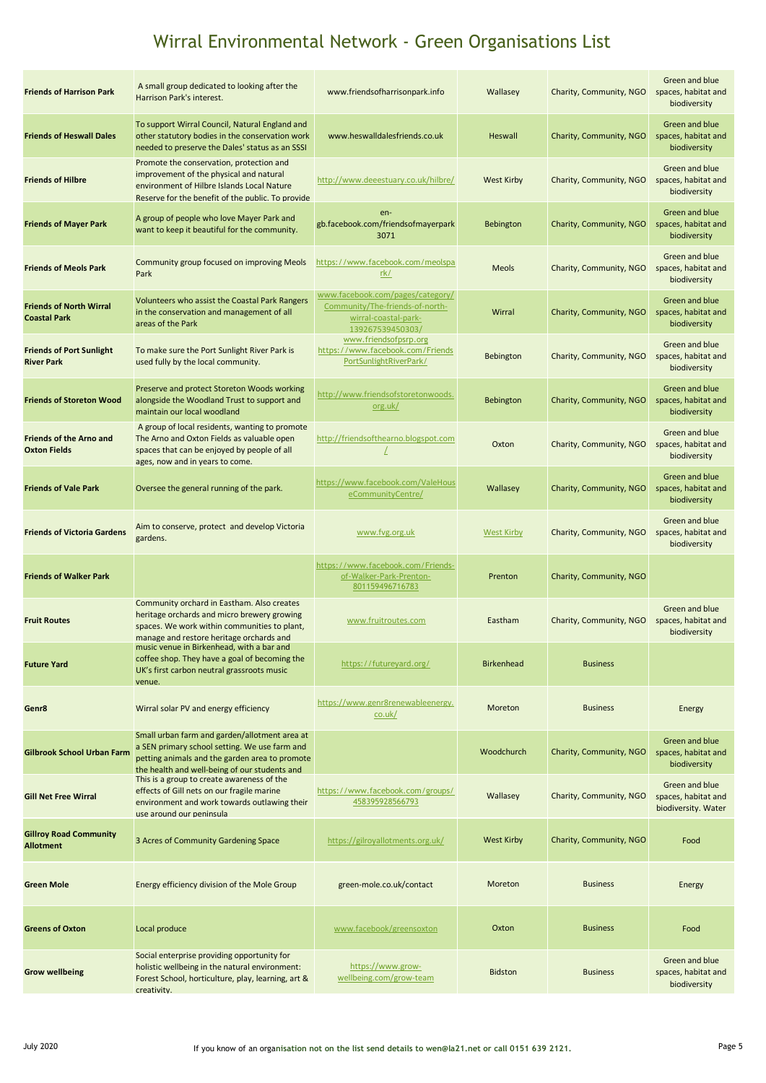| <b>Friends of Harrison Park</b>                       | A small group dedicated to looking after the<br>Harrison Park's interest.                                                                                                                         | www.friendsofharrisonpark.info                                                                                  | Wallasey          | Charity, Community, NGO | Green and blue<br>spaces, habitat and<br>biodiversity        |
|-------------------------------------------------------|---------------------------------------------------------------------------------------------------------------------------------------------------------------------------------------------------|-----------------------------------------------------------------------------------------------------------------|-------------------|-------------------------|--------------------------------------------------------------|
| <b>Friends of Heswall Dales</b>                       | To support Wirral Council, Natural England and<br>other statutory bodies in the conservation work<br>needed to preserve the Dales' status as an SSSI                                              | www.heswalldalesfriends.co.uk                                                                                   | <b>Heswall</b>    | Charity, Community, NGO | Green and blue<br>spaces, habitat and<br>biodiversity        |
| <b>Friends of Hilbre</b>                              | Promote the conservation, protection and<br>improvement of the physical and natural<br>environment of Hilbre Islands Local Nature<br>Reserve for the benefit of the public. To provide            | http://www.deeestuary.co.uk/hilbre/                                                                             | <b>West Kirby</b> | Charity, Community, NGO | Green and blue<br>spaces, habitat and<br>biodiversity        |
| <b>Friends of Mayer Park</b>                          | A group of people who love Mayer Park and<br>want to keep it beautiful for the community.                                                                                                         | en-<br>gb.facebook.com/friendsofmayerpark<br>3071                                                               | <b>Bebington</b>  | Charity, Community, NGO | Green and blue<br>spaces, habitat and<br>biodiversity        |
| <b>Friends of Meols Park</b>                          | Community group focused on improving Meols<br>Park                                                                                                                                                | https://www.facebook.com/meolspa<br>rk/                                                                         | Meols             | Charity, Community, NGO | Green and blue<br>spaces, habitat and<br>biodiversity        |
| <b>Friends of North Wirral</b><br><b>Coastal Park</b> | Volunteers who assist the Coastal Park Rangers<br>in the conservation and management of all<br>areas of the Park                                                                                  | www.facebook.com/pages/category/<br>Community/The-friends-of-north-<br>wirral-coastal-park-<br>139267539450303/ | Wirral            | Charity, Community, NGO | Green and blue<br>spaces, habitat and<br>biodiversity        |
| <b>Friends of Port Sunlight</b><br><b>River Park</b>  | To make sure the Port Sunlight River Park is<br>used fully by the local community.                                                                                                                | www.friendsofpsrp.org<br>https://www.facebook.com/Friends<br>PortSunlightRiverPark/                             | Bebington         | Charity, Community, NGO | Green and blue<br>spaces, habitat and<br>biodiversity        |
| <b>Friends of Storeton Wood</b>                       | Preserve and protect Storeton Woods working<br>alongside the Woodland Trust to support and<br>maintain our local woodland                                                                         | http://www.friendsofstoretonwoods.<br>org.uk/                                                                   | <b>Bebington</b>  | Charity, Community, NGO | Green and blue<br>spaces, habitat and<br>biodiversity        |
| <b>Friends of the Arno and</b><br><b>Oxton Fields</b> | A group of local residents, wanting to promote<br>The Arno and Oxton Fields as valuable open<br>spaces that can be enjoyed by people of all<br>ages, now and in years to come.                    | http://friendsofthearno.blogspot.com                                                                            | Oxton             | Charity, Community, NGO | Green and blue<br>spaces, habitat and<br>biodiversity        |
| <b>Friends of Vale Park</b>                           | Oversee the general running of the park.                                                                                                                                                          | https://www.facebook.com/ValeHous<br>eCommunityCentre/                                                          | Wallasey          | Charity, Community, NGO | <b>Green and blue</b><br>spaces, habitat and<br>biodiversity |
| <b>Friends of Victoria Gardens</b>                    | Aim to conserve, protect and develop Victoria<br>gardens.                                                                                                                                         | www.fvg.org.uk                                                                                                  | <b>West Kirby</b> | Charity, Community, NGO | Green and blue<br>spaces, habitat and<br>biodiversity        |
| <b>Friends of Walker Park</b>                         |                                                                                                                                                                                                   | https://www.facebook.com/Friends-<br>of-Walker-Park-Prenton-<br>801159496716783                                 | Prenton           | Charity, Community, NGO |                                                              |
| <b>Fruit Routes</b>                                   | Community orchard in Eastham. Also creates<br>heritage orchards and micro brewery growing<br>spaces. We work within communities to plant,<br>manage and restore heritage orchards and             | www.fruitroutes.com                                                                                             | Eastham           | Charity, Community, NGO | Green and blue<br>spaces, habitat and<br>biodiversity        |
| <b>Future Yard</b>                                    | music venue in Birkenhead, with a bar and<br>coffee shop. They have a goal of becoming the<br>UK's first carbon neutral grassroots music<br>venue.                                                | https://futureyard.org/                                                                                         | <b>Birkenhead</b> | <b>Business</b>         |                                                              |
| Genr8                                                 | Wirral solar PV and energy efficiency                                                                                                                                                             | https://www.genr8renewableenergy.<br>co. uk/                                                                    | Moreton           | <b>Business</b>         | Energy                                                       |
| <b>Gilbrook School Urban Farm</b>                     | Small urban farm and garden/allotment area at<br>a SEN primary school setting. We use farm and<br>petting animals and the garden area to promote<br>the health and well-being of our students and |                                                                                                                 | Woodchurch        | Charity, Community, NGO | Green and blue<br>spaces, habitat and<br>biodiversity        |
| <b>Gill Net Free Wirral</b>                           | This is a group to create awareness of the<br>effects of Gill nets on our fragile marine<br>environment and work towards outlawing their<br>use around our peninsula                              | https://www.facebook.com/groups/<br>458395928566793                                                             | Wallasey          | Charity, Community, NGO | Green and blue<br>spaces, habitat and<br>biodiversity. Water |
| <b>Gillroy Road Community</b><br><b>Allotment</b>     | 3 Acres of Community Gardening Space                                                                                                                                                              | https://gilroyallotments.org.uk/                                                                                | <b>West Kirby</b> | Charity, Community, NGO | Food                                                         |
| <b>Green Mole</b>                                     | Energy efficiency division of the Mole Group                                                                                                                                                      | green-mole.co.uk/contact                                                                                        | Moreton           | <b>Business</b>         | Energy                                                       |
| <b>Greens of Oxton</b>                                | Local produce                                                                                                                                                                                     | www.facebook/greensoxton                                                                                        | Oxton             | <b>Business</b>         | Food                                                         |
| <b>Grow wellbeing</b>                                 | Social enterprise providing opportunity for<br>holistic wellbeing in the natural environment:<br>Forest School, horticulture, play, learning, art &<br>creativity.                                | https://www.grow-<br>wellbeing.com/grow-team                                                                    | <b>Bidston</b>    | <b>Business</b>         | Green and blue<br>spaces, habitat and<br>biodiversity        |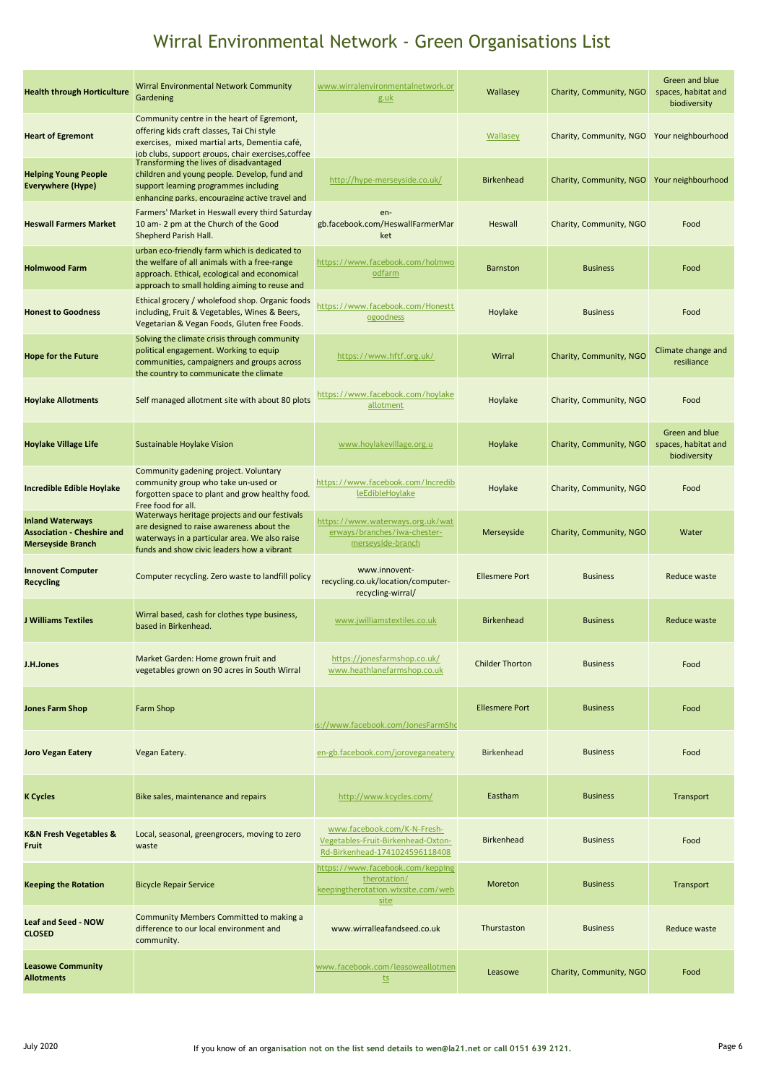| <b>Health through Horticulture</b>                                                       | <b>Wirral Environmental Network Community</b><br>Gardening                                                                                                                                      | www.wirralenvironmentalnetwork.or<br><u>g.uk</u>                                                    | Wallasey               | Charity, Community, NGO | Green and blue<br>spaces, habitat and<br>biodiversity |
|------------------------------------------------------------------------------------------|-------------------------------------------------------------------------------------------------------------------------------------------------------------------------------------------------|-----------------------------------------------------------------------------------------------------|------------------------|-------------------------|-------------------------------------------------------|
| <b>Heart of Egremont</b>                                                                 | Community centre in the heart of Egremont,<br>offering kids craft classes, Tai Chi style<br>exercises, mixed martial arts, Dementia café,<br>job clubs, support groups, chair exercises, coffee |                                                                                                     | Wallasey               | Charity, Community, NGO | Your neighbourhood                                    |
| <b>Helping Young People</b><br><b>Everywhere (Hype)</b>                                  | Transforming the lives of disadvantaged<br>children and young people. Develop, fund and<br>support learning programmes including<br>enhancing parks, encouraging active travel and              | http://hype-merseyside.co.uk/                                                                       | <b>Birkenhead</b>      | Charity, Community, NGO | Your neighbourhood                                    |
| <b>Heswall Farmers Market</b>                                                            | Farmers' Market in Heswall every third Saturday<br>10 am- 2 pm at the Church of the Good<br>Shepherd Parish Hall.                                                                               | en-<br>gb.facebook.com/HeswallFarmerMar<br>ket                                                      | Heswall                | Charity, Community, NGO | Food                                                  |
| <b>Holmwood Farm</b>                                                                     | urban eco-friendly farm which is dedicated to<br>the welfare of all animals with a free-range<br>approach. Ethical, ecological and economical<br>approach to small holding aiming to reuse and  | https://www.facebook.com/holmwo<br>odfarm                                                           | <b>Barnston</b>        | <b>Business</b>         | Food                                                  |
| <b>Honest to Goodness</b>                                                                | Ethical grocery / wholefood shop. Organic foods<br>including, Fruit & Vegetables, Wines & Beers,<br>Vegetarian & Vegan Foods, Gluten free Foods.                                                | https://www.facebook.com/Honestt<br>ogoodness                                                       | Hoylake                | <b>Business</b>         | Food                                                  |
| <b>Hope for the Future</b>                                                               | Solving the climate crisis through community<br>political engagement. Working to equip<br>communities, campaigners and groups across<br>the country to communicate the climate                  | https://www.hftf.org.uk/                                                                            | Wirral                 | Charity, Community, NGO | Climate change and<br>resiliance                      |
| <b>Hoylake Allotments</b>                                                                | Self managed allotment site with about 80 plots                                                                                                                                                 | https://www.facebook.com/hoylake<br>allotment                                                       | Hoylake                | Charity, Community, NGO | Food                                                  |
| <b>Hoylake Village Life</b>                                                              | Sustainable Hoylake Vision                                                                                                                                                                      | www.hoylakevillage.org.u                                                                            | Hoylake                | Charity, Community, NGO | Green and blue<br>spaces, habitat and<br>biodiversity |
| Incredible Edible Hoylake                                                                | Community gadening project. Voluntary<br>community group who take un-used or<br>forgotten space to plant and grow healthy food.<br>Free food for all.                                           | https://www.facebook.com/Incredib<br>leEdibleHoylake                                                | Hoylake                | Charity, Community, NGO | Food                                                  |
| <b>Inland Waterways</b><br><b>Association - Cheshire and</b><br><b>Merseyside Branch</b> | Waterways heritage projects and our festivals<br>are designed to raise awareness about the<br>waterways in a particular area. We also raise<br>funds and show civic leaders how a vibrant       | https://www.waterways.org.uk/wat<br>erways/branches/iwa-chester-<br>merseyside-branch               | Merseyside             | Charity, Community, NGO | Water                                                 |
| <b>Innovent Computer</b><br><b>Recycling</b>                                             | Computer recycling. Zero waste to landfill policy                                                                                                                                               | www.innovent-<br>recycling.co.uk/location/computer-<br>recycling-wirral/                            | <b>Ellesmere Port</b>  | <b>Business</b>         | Reduce waste                                          |
| <b>J Williams Textiles</b>                                                               | Wirral based, cash for clothes type business,<br>based in Birkenhead.                                                                                                                           | www.jwilliamstextiles.co.uk                                                                         | <b>Birkenhead</b>      | <b>Business</b>         | Reduce waste                                          |
| J.H.Jones                                                                                | Market Garden: Home grown fruit and<br>vegetables grown on 90 acres in South Wirral                                                                                                             | https://jonesfarmshop.co.uk/<br>www.heathlanefarmshop.co.uk                                         | <b>Childer Thorton</b> | <b>Business</b>         | Food                                                  |
| <b>Jones Farm Shop</b>                                                                   | <b>Farm Shop</b>                                                                                                                                                                                | )s://www.facebook.com/JonesFarmShc                                                                  | <b>Ellesmere Port</b>  | <b>Business</b>         | Food                                                  |
| <b>Joro Vegan Eatery</b>                                                                 | Vegan Eatery.                                                                                                                                                                                   | en-gb.facebook.com/joroveganeatery                                                                  | <b>Birkenhead</b>      | <b>Business</b>         | Food                                                  |
| <b>K</b> Cycles                                                                          | Bike sales, maintenance and repairs                                                                                                                                                             | http://www.kcycles.com/                                                                             | Eastham                | <b>Business</b>         | Transport                                             |
| <b>K&amp;N Fresh Vegetables &amp;</b><br><b>Fruit</b>                                    | Local, seasonal, greengrocers, moving to zero<br>waste                                                                                                                                          | www.facebook.com/K-N-Fresh-<br>Vegetables-Fruit-Birkenhead-Oxton-<br>Rd-Birkenhead-1741024596118408 | <b>Birkenhead</b>      | <b>Business</b>         | Food                                                  |
| <b>Keeping the Rotation</b>                                                              | <b>Bicycle Repair Service</b>                                                                                                                                                                   | https://www.facebook.com/kepping<br>therotation/<br>keepingtherotation.wixsite.com/web<br>site      | Moreton                | <b>Business</b>         | Transport                                             |
| <b>Leaf and Seed - NOW</b><br><b>CLOSED</b>                                              | Community Members Committed to making a<br>difference to our local environment and<br>community.                                                                                                | www.wirralleafandseed.co.uk                                                                         | Thurstaston            | <b>Business</b>         | <b>Reduce waste</b>                                   |
| <b>Leasowe Community</b><br><b>Allotments</b>                                            |                                                                                                                                                                                                 | www.facebook.com/leasoweallotmen<br><u>ts</u>                                                       | Leasowe                | Charity, Community, NGO | Food                                                  |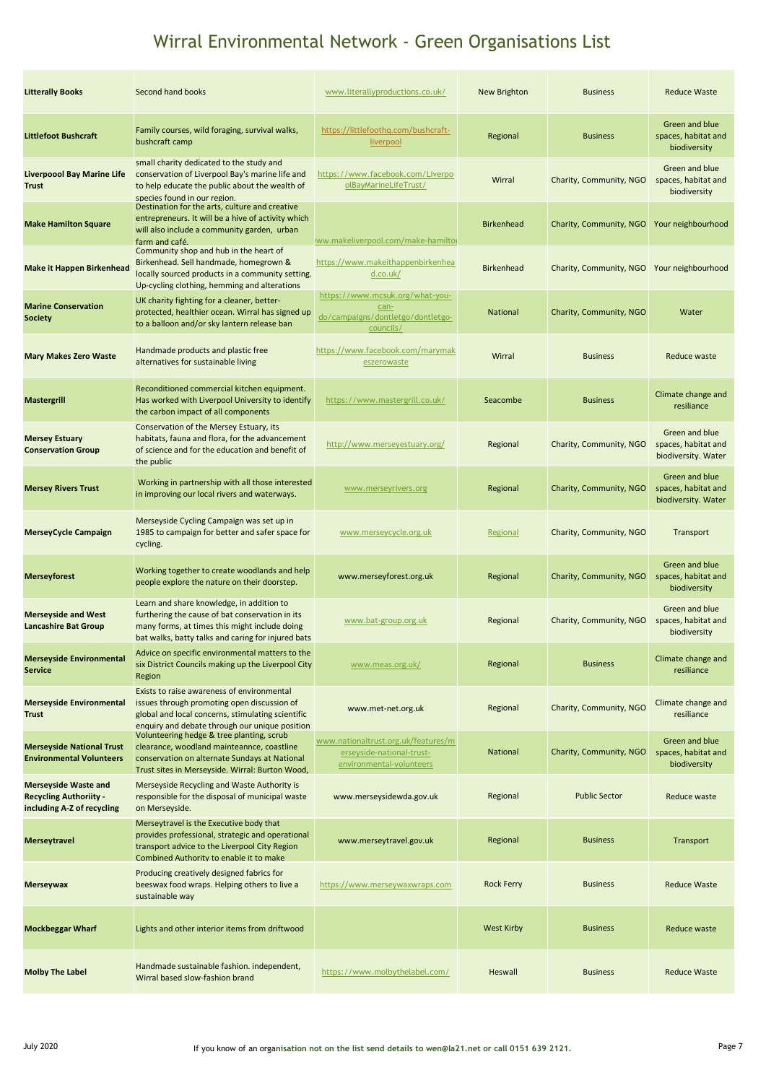| <b>Litterally Books</b>                                                                    | Second hand books                                                                                                                                                                                   | www.literallyproductions.co.uk/                                                              | <b>New Brighton</b> | <b>Business</b>                            | <b>Reduce Waste</b>                                          |
|--------------------------------------------------------------------------------------------|-----------------------------------------------------------------------------------------------------------------------------------------------------------------------------------------------------|----------------------------------------------------------------------------------------------|---------------------|--------------------------------------------|--------------------------------------------------------------|
| <b>Littlefoot Bushcraft</b>                                                                | Family courses, wild foraging, survival walks,<br>bushcraft camp                                                                                                                                    | https://littlefoothq.com/bushcraft-<br>liverpool                                             | Regional            | <b>Business</b>                            | Green and blue<br>spaces, habitat and<br>biodiversity        |
| <b>Liverpoool Bay Marine Life</b><br><b>Trust</b>                                          | small charity dedicated to the study and<br>conservation of Liverpool Bay's marine life and<br>to help educate the public about the wealth of<br>species found in our region.                       | https://www.facebook.com/Liverpo<br>olBayMarineLifeTrust/                                    | Wirral              | Charity, Community, NGO                    | Green and blue<br>spaces, habitat and<br>biodiversity        |
| <b>Make Hamilton Square</b>                                                                | Destination for the arts, culture and creative<br>entrepreneurs. It will be a hive of activity which<br>will also include a community garden, urban<br>farm and café.                               | ww.makeliverpool.com/make-hamiltor                                                           | <b>Birkenhead</b>   | Charity, Community, NGO                    | Your neighbourhood                                           |
| <b>Make it Happen Birkenhead</b>                                                           | Community shop and hub in the heart of<br>Birkenhead. Sell handmade, homegrown &<br>locally sourced products in a community setting.<br>Up-cycling clothing, hemming and alterations                | https://www.makeithappenbirkenhea<br>d.co.uk/                                                | <b>Birkenhead</b>   | Charity, Community, NGO Your neighbourhood |                                                              |
| <b>Marine Conservation</b><br><b>Society</b>                                               | UK charity fighting for a cleaner, better-<br>protected, healthier ocean. Wirral has signed up<br>to a balloon and/or sky lantern release ban                                                       | https://www.mcsuk.org/what-you-<br>can-<br>do/campaigns/dontletgo/dontletgo-<br>councils/    | <b>National</b>     | Charity, Community, NGO                    | Water                                                        |
| <b>Mary Makes Zero Waste</b>                                                               | Handmade products and plastic free<br>alternatives for sustainable living                                                                                                                           | https://www.facebook.com/marymak<br>eszerowaste                                              | Wirral              | <b>Business</b>                            | Reduce waste                                                 |
| <b>Mastergrill</b>                                                                         | Reconditioned commercial kitchen equipment.<br>Has worked with Liverpool University to identify<br>the carbon impact of all components                                                              | https://www.mastergrill.co.uk/                                                               | Seacombe            | <b>Business</b>                            | Climate change and<br>resiliance                             |
| <b>Mersey Estuary</b><br><b>Conservation Group</b>                                         | Conservation of the Mersey Estuary, its<br>habitats, fauna and flora, for the advancement<br>of science and for the education and benefit of<br>the public                                          | http://www.merseyestuary.org/                                                                | Regional            | Charity, Community, NGO                    | Green and blue<br>spaces, habitat and<br>biodiversity. Water |
| <b>Mersey Rivers Trust</b>                                                                 | Working in partnership with all those interested<br>in improving our local rivers and waterways.                                                                                                    | www.merseyrivers.org                                                                         | Regional            | Charity, Community, NGO                    | Green and blue<br>spaces, habitat and<br>biodiversity. Water |
| <b>MerseyCycle Campaign</b>                                                                | Merseyside Cycling Campaign was set up in<br>1985 to campaign for better and safer space for<br>cycling.                                                                                            | www.merseycycle.org.uk                                                                       | Regional            | Charity, Community, NGO                    | Transport                                                    |
| <b>Merseyforest</b>                                                                        | Working together to create woodlands and help<br>people explore the nature on their doorstep.                                                                                                       | www.merseyforest.org.uk                                                                      | Regional            | Charity, Community, NGO                    | Green and blue<br>spaces, habitat and<br>biodiversity        |
| <b>Merseyside and West</b><br><b>Lancashire Bat Group</b>                                  | Learn and share knowledge, in addition to<br>furthering the cause of bat conservation in its<br>many forms, at times this might include doing<br>bat walks, batty talks and caring for injured bats | www.bat-group.org.uk                                                                         | Regional            | Charity, Community, NGO                    | Green and blue<br>spaces, habitat and<br>biodiversity        |
| <b>Merseyside Environmental</b><br><b>Service</b>                                          | Advice on specific environmental matters to the<br>six District Councils making up the Liverpool City<br>Region                                                                                     | www.meas.org.uk/                                                                             | Regional            | <b>Business</b>                            | Climate change and<br>resiliance                             |
| <b>Merseyside Environmental</b><br><b>Trust</b>                                            | Exists to raise awareness of environmental<br>issues through promoting open discussion of<br>global and local concerns, stimulating scientific<br>enquiry and debate through our unique position    | www.met-net.org.uk                                                                           | Regional            | Charity, Community, NGO                    | Climate change and<br>resiliance                             |
| <b>Merseyside National Trust</b><br><b>Environmental Volunteers</b>                        | Volunteering hedge & tree planting, scrub<br>clearance, woodland mainteannce, coastline<br>conservation on alternate Sundays at National<br>Trust sites in Merseyside. Wirral: Burton Wood,         | www.nationaltrust.org.uk/features/m<br>erseyside-national-trust-<br>environmental-volunteers | National            | Charity, Community, NGO                    | Green and blue<br>spaces, habitat and<br>biodiversity        |
| <b>Merseyside Waste and</b><br><b>Recycling Authoriity -</b><br>including A-Z of recycling | Merseyside Recycling and Waste Authority is<br>responsible for the disposal of municipal waste<br>on Merseyside.                                                                                    | www.merseysidewda.gov.uk                                                                     | Regional            | <b>Public Sector</b>                       | Reduce waste                                                 |
| <b>Merseytravel</b>                                                                        | Merseytravel is the Executive body that<br>provides professional, strategic and operational<br>transport advice to the Liverpool City Region<br>Combined Authority to enable it to make             | www.merseytravel.gov.uk                                                                      | Regional            | <b>Business</b>                            | Transport                                                    |
| <b>Merseywax</b>                                                                           | Producing creatively designed fabrics for<br>beeswax food wraps. Helping others to live a<br>sustainable way                                                                                        | https://www.merseywaxwraps.com                                                               | <b>Rock Ferry</b>   | <b>Business</b>                            | <b>Reduce Waste</b>                                          |
| <b>Mockbeggar Wharf</b>                                                                    | Lights and other interior items from driftwood                                                                                                                                                      |                                                                                              | <b>West Kirby</b>   | <b>Business</b>                            | Reduce waste                                                 |
| <b>Molby The Label</b>                                                                     | Handmade sustainable fashion. independent,<br>Wirral based slow-fashion brand                                                                                                                       | https://www.molbythelabel.com/                                                               | Heswall             | <b>Business</b>                            | <b>Reduce Waste</b>                                          |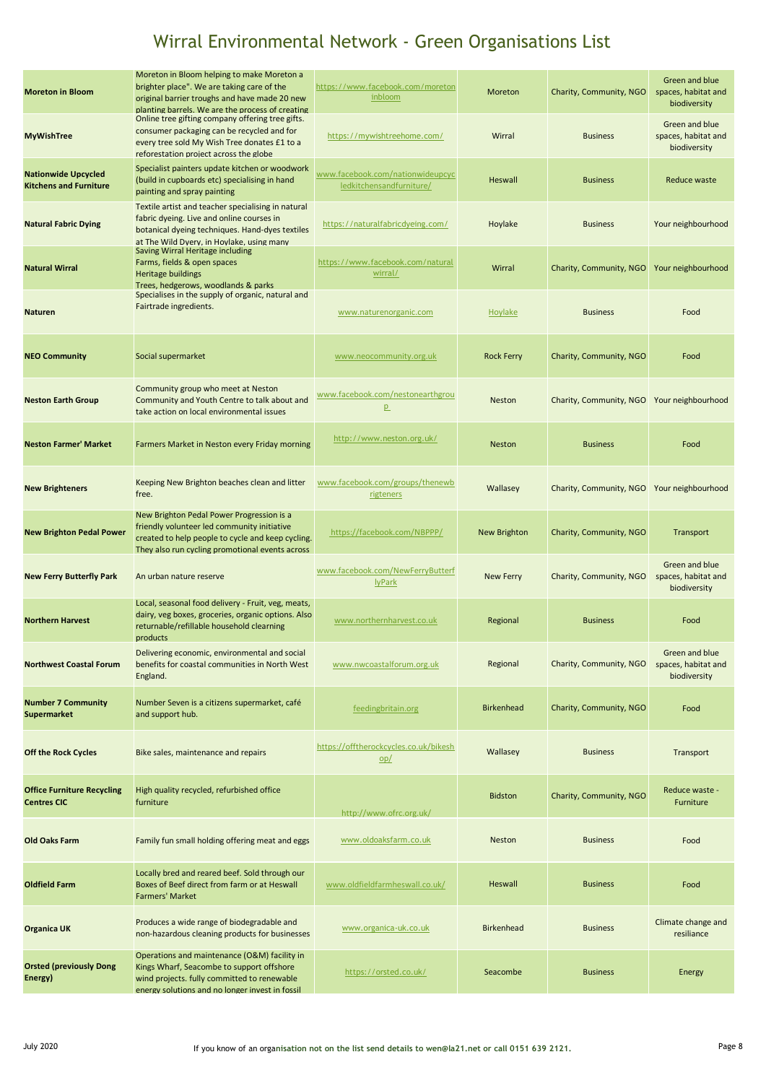| <b>Moreton in Bloom</b>                                     | Moreton in Bloom helping to make Moreton a<br>brighter place". We are taking care of the<br>original barrier troughs and have made 20 new<br>planting barrels. We are the process of creating    | https://www.facebook.com/moreton<br>inbloom                  | Moreton           | Charity, Community, NGO | Green and blue<br>spaces, habitat and<br>biodiversity |
|-------------------------------------------------------------|--------------------------------------------------------------------------------------------------------------------------------------------------------------------------------------------------|--------------------------------------------------------------|-------------------|-------------------------|-------------------------------------------------------|
| <b>MyWishTree</b>                                           | Online tree gifting company offering tree gifts.<br>consumer packaging can be recycled and for<br>every tree sold My Wish Tree donates £1 to a<br>reforestation project across the globe         | https://mywishtreehome.com/                                  | Wirral            | <b>Business</b>         | Green and blue<br>spaces, habitat and<br>biodiversity |
| <b>Nationwide Upcycled</b><br><b>Kitchens and Furniture</b> | Specialist painters update kitchen or woodwork<br>(build in cupboards etc) specialising in hand<br>painting and spray painting                                                                   | www.facebook.com/nationwideupcyc<br>ledkitchensandfurniture/ | <b>Heswall</b>    | <b>Business</b>         | Reduce waste                                          |
| <b>Natural Fabric Dying</b>                                 | Textile artist and teacher specialising in natural<br>fabric dyeing. Live and online courses in<br>botanical dyeing techniques. Hand-dyes textiles<br>at The Wild Dyery, in Hoylake, using many  | https://naturalfabricdyeing.com/                             | Hoylake           | <b>Business</b>         | Your neighbourhood                                    |
| <b>Natural Wirral</b>                                       | Saving Wirral Heritage including<br>Farms, fields & open spaces<br>Heritage buildings<br>Trees, hedgerows, woodlands & parks                                                                     | https://www.facebook.com/natural<br>wirral/                  | Wirral            | Charity, Community, NGO | Your neighbourhood                                    |
| <b>Naturen</b>                                              | Specialises in the supply of organic, natural and<br>Fairtrade ingredients.                                                                                                                      | www.naturenorganic.com                                       | Hoylake           | <b>Business</b>         | Food                                                  |
| <b>NEO Community</b>                                        | Social supermarket                                                                                                                                                                               | www.neocommunity.org.uk                                      | <b>Rock Ferry</b> | Charity, Community, NGO | Food                                                  |
| <b>Neston Earth Group</b>                                   | Community group who meet at Neston<br>Community and Youth Centre to talk about and<br>take action on local environmental issues                                                                  | www.facebook.com/nestonearthgrou<br>p                        | <b>Neston</b>     | Charity, Community, NGO | Your neighbourhood                                    |
| <b>Neston Farmer' Market</b>                                | Farmers Market in Neston every Friday morning                                                                                                                                                    | http://www.neston.org.uk/                                    | <b>Neston</b>     | <b>Business</b>         | Food                                                  |
| <b>New Brighteners</b>                                      | Keeping New Brighton beaches clean and litter<br>free.                                                                                                                                           | www.facebook.com/groups/thenewb<br>rigteners                 | Wallasey          | Charity, Community, NGO | Your neighbourhood                                    |
| <b>New Brighton Pedal Power</b>                             | New Brighton Pedal Power Progression is a<br>friendly volunteer led community initiative<br>created to help people to cycle and keep cycling.<br>They also run cycling promotional events across | https://facebook.com/NBPPP/                                  | New Brighton      | Charity, Community, NGO | Transport                                             |
| <b>New Ferry Butterfly Park</b>                             | An urban nature reserve                                                                                                                                                                          | www.facebook.com/NewFerryButterf<br><b>lyPark</b>            | <b>New Ferry</b>  | Charity, Community, NGO | Green and blue<br>spaces, habitat and<br>biodiversity |
| <b>Northern Harvest</b>                                     | Local, seasonal food delivery - Fruit, veg, meats,<br>dairy, veg boxes, groceries, organic options. Also<br>returnable/refillable household clearning<br>products                                | www.northernharvest.co.uk                                    | Regional          | <b>Business</b>         | Food                                                  |
| <b>Northwest Coastal Forum</b>                              | Delivering economic, environmental and social<br>benefits for coastal communities in North West<br>England.                                                                                      | www.nwcoastalforum.org.uk                                    | Regional          | Charity, Community, NGO | Green and blue<br>spaces, habitat and<br>biodiversity |
| <b>Number 7 Community</b><br>Supermarket                    | Number Seven is a citizens supermarket, café<br>and support hub.                                                                                                                                 | feedingbritain.org                                           | <b>Birkenhead</b> | Charity, Community, NGO | Food                                                  |
| <b>Off the Rock Cycles</b>                                  | Bike sales, maintenance and repairs                                                                                                                                                              | https://offtherockcycles.co.uk/bikesh<br>op/                 | Wallasey          | <b>Business</b>         | Transport                                             |
| <b>Office Furniture Recycling</b><br><b>Centres CIC</b>     | High quality recycled, refurbished office<br>furniture                                                                                                                                           | http://www.ofrc.org.uk/                                      | <b>Bidston</b>    | Charity, Community, NGO | Reduce waste -<br>Furniture                           |
| <b>Old Oaks Farm</b>                                        | Family fun small holding offering meat and eggs                                                                                                                                                  | www.oldoaksfarm.co.uk                                        | Neston            | <b>Business</b>         | Food                                                  |
| <b>Oldfield Farm</b>                                        | Locally bred and reared beef. Sold through our<br>Boxes of Beef direct from farm or at Heswall<br><b>Farmers' Market</b>                                                                         | www.oldfieldfarmheswall.co.uk/                               | Heswall           | <b>Business</b>         | Food                                                  |
| <b>Organica UK</b>                                          | Produces a wide range of biodegradable and<br>non-hazardous cleaning products for businesses                                                                                                     | www.organica-uk.co.uk                                        | <b>Birkenhead</b> | <b>Business</b>         | Climate change and<br>resiliance                      |
| <b>Orsted (previously Dong</b><br>Energy)                   | Operations and maintenance (O&M) facility in<br>Kings Wharf, Seacombe to support offshore<br>wind projects. fully committed to renewable<br>energy solutions and no longer invest in fossil      | https://orsted.co.uk/                                        | Seacombe          | <b>Business</b>         | Energy                                                |
|                                                             |                                                                                                                                                                                                  |                                                              |                   |                         |                                                       |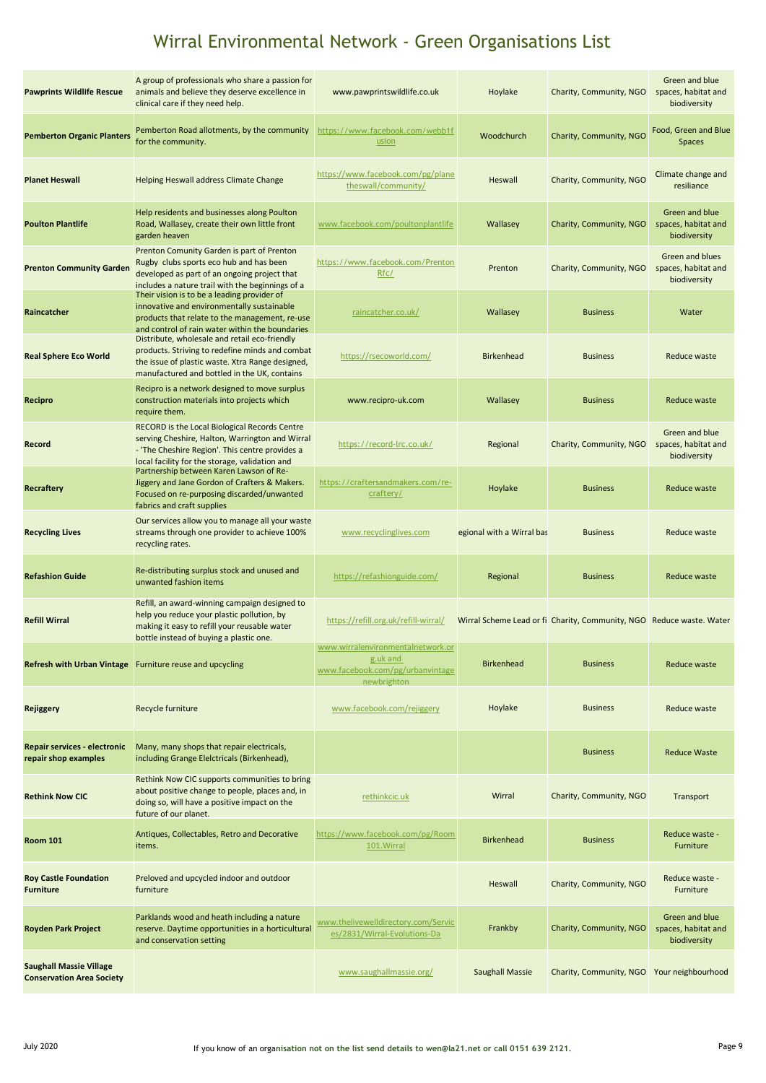| <b>Pawprints Wildlife Rescue</b>                                   | A group of professionals who share a passion for<br>animals and believe they deserve excellence in<br>clinical care if they need help.                                                                | www.pawprintswildlife.co.uk                                                                      | Hoylake                   | Charity, Community, NGO                                              | Green and blue<br>spaces, habitat and<br>biodiversity  |
|--------------------------------------------------------------------|-------------------------------------------------------------------------------------------------------------------------------------------------------------------------------------------------------|--------------------------------------------------------------------------------------------------|---------------------------|----------------------------------------------------------------------|--------------------------------------------------------|
| <b>Pemberton Organic Planters</b>                                  | Pemberton Road allotments, by the community<br>for the community.                                                                                                                                     | https://www.facebook.com/webb1f<br>usion                                                         | Woodchurch                | Charity, Community, NGO                                              | Food, Green and Blue<br><b>Spaces</b>                  |
| <b>Planet Heswall</b>                                              | Helping Heswall address Climate Change                                                                                                                                                                | https://www.facebook.com/pg/plane<br>theswall/community/                                         | Heswall                   | Charity, Community, NGO                                              | Climate change and<br>resiliance                       |
| <b>Poulton Plantlife</b>                                           | Help residents and businesses along Poulton<br>Road, Wallasey, create their own little front<br>garden heaven                                                                                         | www.facebook.com/poultonplantlife                                                                | Wallasey                  | Charity, Community, NGO                                              | Green and blue<br>spaces, habitat and<br>biodiversity  |
| <b>Prenton Community Garden</b>                                    | Prenton Comunity Garden is part of Prenton<br>Rugby clubs sports eco hub and has been<br>developed as part of an ongoing project that<br>includes a nature trail with the beginnings of a             | https://www.facebook.com/Prenton<br>Rfc/                                                         | Prenton                   | Charity, Community, NGO                                              | Green and blues<br>spaces, habitat and<br>biodiversity |
| Raincatcher                                                        | Their vision is to be a leading provider of<br>innovative and environmentally sustainable<br>products that relate to the management, re-use<br>and control of rain water within the boundaries        | raincatcher.co.uk/                                                                               | Wallasey                  | <b>Business</b>                                                      | Water                                                  |
| <b>Real Sphere Eco World</b>                                       | Distribute, wholesale and retail eco-friendly<br>products. Striving to redefine minds and combat<br>the issue of plastic waste. Xtra Range designed,<br>manufactured and bottled in the UK, contains  | https://rsecoworld.com/                                                                          | <b>Birkenhead</b>         | <b>Business</b>                                                      | Reduce waste                                           |
| Recipro                                                            | Recipro is a network designed to move surplus<br>construction materials into projects which<br>require them.                                                                                          | www.recipro-uk.com                                                                               | Wallasey                  | <b>Business</b>                                                      | Reduce waste                                           |
| Record                                                             | RECORD is the Local Biological Records Centre<br>serving Cheshire, Halton, Warrington and Wirral<br>- 'The Cheshire Region'. This centre provides a<br>local facility for the storage, validation and | https://record-lrc.co.uk/                                                                        | Regional                  | Charity, Community, NGO                                              | Green and blue<br>spaces, habitat and<br>biodiversity  |
| Recraftery                                                         | Partnership between Karen Lawson of Re-<br>Jiggery and Jane Gordon of Crafters & Makers.<br>Focused on re-purposing discarded/unwanted<br>fabrics and craft supplies                                  | https://craftersandmakers.com/re-<br>craftery/                                                   | Hoylake                   | <b>Business</b>                                                      | Reduce waste                                           |
| <b>Recycling Lives</b>                                             | Our services allow you to manage all your waste<br>streams through one provider to achieve 100%<br>recycling rates.                                                                                   | www.recyclinglives.com                                                                           | egional with a Wirral bas | <b>Business</b>                                                      | Reduce waste                                           |
| <b>Refashion Guide</b>                                             | Re-distributing surplus stock and unused and<br>unwanted fashion items                                                                                                                                | https://refashionguide.com/                                                                      | Regional                  | <b>Business</b>                                                      | Reduce waste                                           |
| <b>Refill Wirral</b>                                               | Refill, an award-winning campaign designed to<br>help you reduce your plastic pollution, by<br>making it easy to refill your reusable water<br>bottle instead of buying a plastic one.                | https://refill.org.uk/refill-wirral/                                                             |                           | Wirral Scheme Lead or fi Charity, Community, NGO Reduce waste. Water |                                                        |
|                                                                    | Refresh with Urban Vintage Furniture reuse and upcycling                                                                                                                                              | www.wirralenvironmentalnetwork.or<br>g.uk and<br>www.facebook.com/pg/urbanvintage<br>newbrighton | <b>Birkenhead</b>         | <b>Business</b>                                                      | Reduce waste                                           |
| <b>Rejiggery</b>                                                   | Recycle furniture                                                                                                                                                                                     | www.facebook.com/rejiggery                                                                       | Hoylake                   | <b>Business</b>                                                      | Reduce waste                                           |
| Repair services - electronic<br>repair shop examples               | Many, many shops that repair electricals,<br>including Grange Elelctricals (Birkenhead),                                                                                                              |                                                                                                  |                           | <b>Business</b>                                                      | <b>Reduce Waste</b>                                    |
| <b>Rethink Now CIC</b>                                             | Rethink Now CIC supports communities to bring<br>about positive change to people, places and, in<br>doing so, will have a positive impact on the<br>future of our planet.                             | rethinkcic.uk                                                                                    | Wirral                    | Charity, Community, NGO                                              | Transport                                              |
| <b>Room 101</b>                                                    | Antiques, Collectables, Retro and Decorative<br>items.                                                                                                                                                | https://www.facebook.com/pg/Room<br>101. Wirral                                                  | Birkenhead                | <b>Business</b>                                                      | Reduce waste -<br><b>Furniture</b>                     |
| <b>Roy Castle Foundation</b><br><b>Furniture</b>                   | Preloved and upcycled indoor and outdoor<br>furniture                                                                                                                                                 |                                                                                                  | Heswall                   | Charity, Community, NGO                                              | Reduce waste -<br>Furniture                            |
| <b>Royden Park Project</b>                                         | Parklands wood and heath including a nature<br>reserve. Daytime opportunities in a horticultural<br>and conservation setting                                                                          | www.thelivewelldirectory.com/Servic<br>es/2831/Wirral-Evolutions-Da                              | Frankby                   | Charity, Community, NGO                                              | Green and blue<br>spaces, habitat and<br>biodiversity  |
| <b>Saughall Massie Village</b><br><b>Conservation Area Society</b> |                                                                                                                                                                                                       | www.saughallmassie.org/                                                                          | <b>Saughall Massie</b>    | Charity, Community, NGO                                              | Your neighbourhood                                     |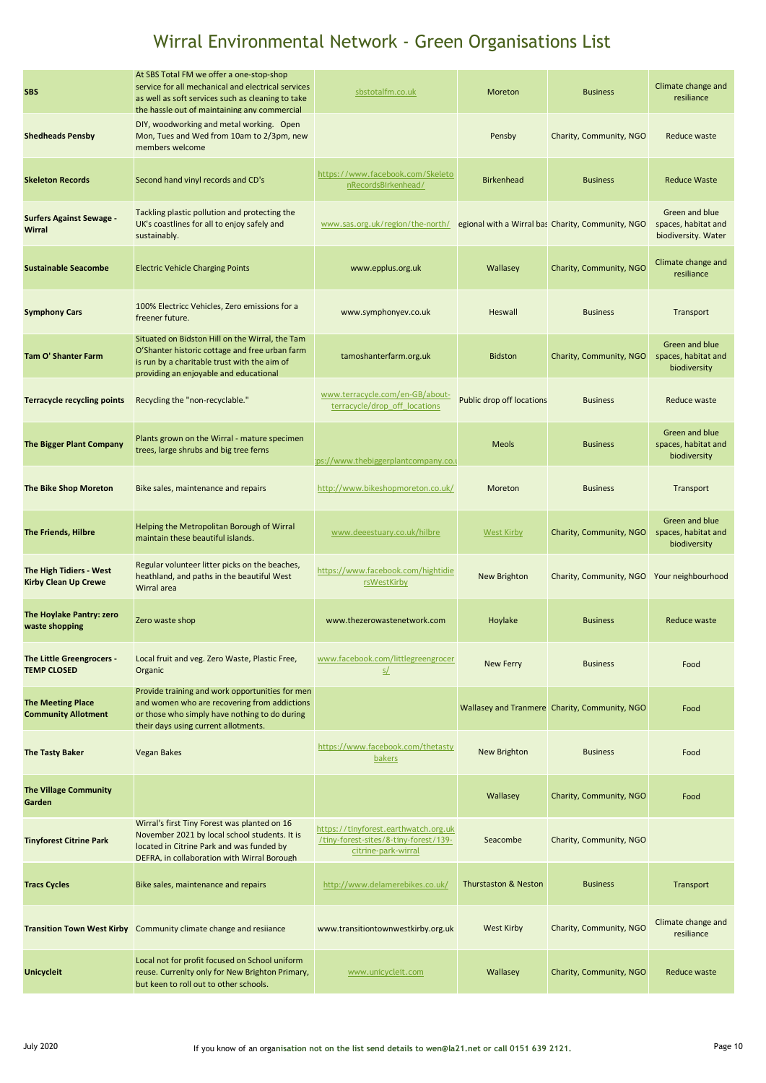| <b>SBS</b>                                             | At SBS Total FM we offer a one-stop-shop<br>service for all mechanical and electrical services<br>as well as soft services such as cleaning to take<br>the hassle out of maintaining any commercial | sbstotalfm.co.uk                                                                                     | Moreton                          | <b>Business</b>                                   | Climate change and<br>resiliance                             |
|--------------------------------------------------------|-----------------------------------------------------------------------------------------------------------------------------------------------------------------------------------------------------|------------------------------------------------------------------------------------------------------|----------------------------------|---------------------------------------------------|--------------------------------------------------------------|
| <b>Shedheads Pensby</b>                                | DIY, woodworking and metal working. Open<br>Mon, Tues and Wed from 10am to 2/3pm, new<br>members welcome                                                                                            |                                                                                                      | Pensby                           | Charity, Community, NGO                           | Reduce waste                                                 |
| <b>Skeleton Records</b>                                | Second hand vinyl records and CD's                                                                                                                                                                  | https://www.facebook.com/Skeleto<br>nRecordsBirkenhead/                                              | <b>Birkenhead</b>                | <b>Business</b>                                   | <b>Reduce Waste</b>                                          |
| <b>Surfers Against Sewage -</b><br><b>Wirral</b>       | Tackling plastic pollution and protecting the<br>UK's coastlines for all to enjoy safely and<br>sustainably.                                                                                        | www.sas.org.uk/region/the-north/                                                                     |                                  | egional with a Wirral bas Charity, Community, NGO | Green and blue<br>spaces, habitat and<br>biodiversity. Water |
| <b>Sustainable Seacombe</b>                            | <b>Electric Vehicle Charging Points</b>                                                                                                                                                             | www.epplus.org.uk                                                                                    | Wallasey                         | Charity, Community, NGO                           | Climate change and<br>resiliance                             |
| <b>Symphony Cars</b>                                   | 100% Electricc Vehicles, Zero emissions for a<br>freener future.                                                                                                                                    | www.symphonyev.co.uk                                                                                 | Heswall                          | <b>Business</b>                                   | Transport                                                    |
| Tam O' Shanter Farm                                    | Situated on Bidston Hill on the Wirral, the Tam<br>O'Shanter historic cottage and free urban farm<br>is run by a charitable trust with the aim of<br>providing an eniovable and educational         | tamoshanterfarm.org.uk                                                                               | <b>Bidston</b>                   | Charity, Community, NGO                           | Green and blue<br>spaces, habitat and<br>biodiversity        |
| <b>Terracycle recycling points</b>                     | Recycling the "non-recyclable."                                                                                                                                                                     | www.terracycle.com/en-GB/about-<br>terracycle/drop_off_locations                                     | <b>Public drop off locations</b> | <b>Business</b>                                   | Reduce waste                                                 |
| The Bigger Plant Company                               | Plants grown on the Wirral - mature specimen<br>trees, large shrubs and big tree ferns                                                                                                              | :ps://www.thebiggerplantcompany.co.u                                                                 | <b>Meols</b>                     | <b>Business</b>                                   | Green and blue<br>spaces, habitat and<br>biodiversity        |
| The Bike Shop Moreton                                  | Bike sales, maintenance and repairs                                                                                                                                                                 | http://www.bikeshopmoreton.co.uk/                                                                    | Moreton                          | <b>Business</b>                                   | Transport                                                    |
| <b>The Friends, Hilbre</b>                             | Helping the Metropolitan Borough of Wirral<br>maintain these beautiful islands.                                                                                                                     | www.deeestuary.co.uk/hilbre                                                                          | <b>West Kirby</b>                | Charity, Community, NGO                           | Green and blue<br>spaces, habitat and<br>biodiversity        |
| The High Tidiers - West<br><b>Kirby Clean Up Crewe</b> | Regular volunteer litter picks on the beaches,<br>heathland, and paths in the beautiful West<br>Wirral area                                                                                         | https://www.facebook.com/hightidie<br>rsWestKirby                                                    | New Brighton                     | Charity, Community, NGO                           | Your neighbourhood                                           |
| The Hoylake Pantry: zero<br>waste shopping             | Zero waste shop                                                                                                                                                                                     | www.thezerowastenetwork.com                                                                          | Hoylake                          | <b>Business</b>                                   | Reduce waste                                                 |
| The Little Greengrocers -<br><b>TEMP CLOSED</b>        | Local fruit and veg. Zero Waste, Plastic Free,<br>Organic                                                                                                                                           | www.facebook.com/littlegreengrocer<br><u>s/</u>                                                      | <b>New Ferry</b>                 | <b>Business</b>                                   | Food                                                         |
| <b>The Meeting Place</b><br><b>Community Allotment</b> | Provide training and work opportunities for men<br>and women who are recovering from addictions<br>or those who simply have nothing to do during<br>their days using current allotments.            |                                                                                                      |                                  | Wallasey and Tranmere Charity, Community, NGO     | Food                                                         |
| <b>The Tasty Baker</b>                                 | <b>Vegan Bakes</b>                                                                                                                                                                                  | https://www.facebook.com/thetasty<br><b>bakers</b>                                                   | <b>New Brighton</b>              | <b>Business</b>                                   | Food                                                         |
| <b>The Village Community</b><br>Garden                 |                                                                                                                                                                                                     |                                                                                                      | Wallasey                         | Charity, Community, NGO                           | Food                                                         |
| <b>Tinyforest Citrine Park</b>                         | Wirral's first Tiny Forest was planted on 16<br>November 2021 by local school students. It is<br>located in Citrine Park and was funded by<br>DEFRA, in collaboration with Wirral Borough           | https://tinyforest.earthwatch.org.uk<br>/tiny-forest-sites/8-tiny-forest/139-<br>citrine-park-wirral | Seacombe                         | Charity, Community, NGO                           |                                                              |
| <b>Tracs Cycles</b>                                    | Bike sales, maintenance and repairs                                                                                                                                                                 | http://www.delamerebikes.co.uk/                                                                      | <b>Thurstaston &amp; Neston</b>  | <b>Business</b>                                   | Transport                                                    |
| <b>Transition Town West Kirby</b>                      | Community climate change and resilance                                                                                                                                                              | www.transitiontownwestkirby.org.uk                                                                   | <b>West Kirby</b>                | Charity, Community, NGO                           | Climate change and<br>resiliance                             |
| <b>Unicycleit</b>                                      | Local not for profit focused on School uniform<br>reuse. Currenlty only for New Brighton Primary,<br>but keen to roll out to other schools.                                                         | www.unicycleit.com                                                                                   | Wallasey                         | Charity, Community, NGO                           | Reduce waste                                                 |
|                                                        |                                                                                                                                                                                                     |                                                                                                      |                                  |                                                   |                                                              |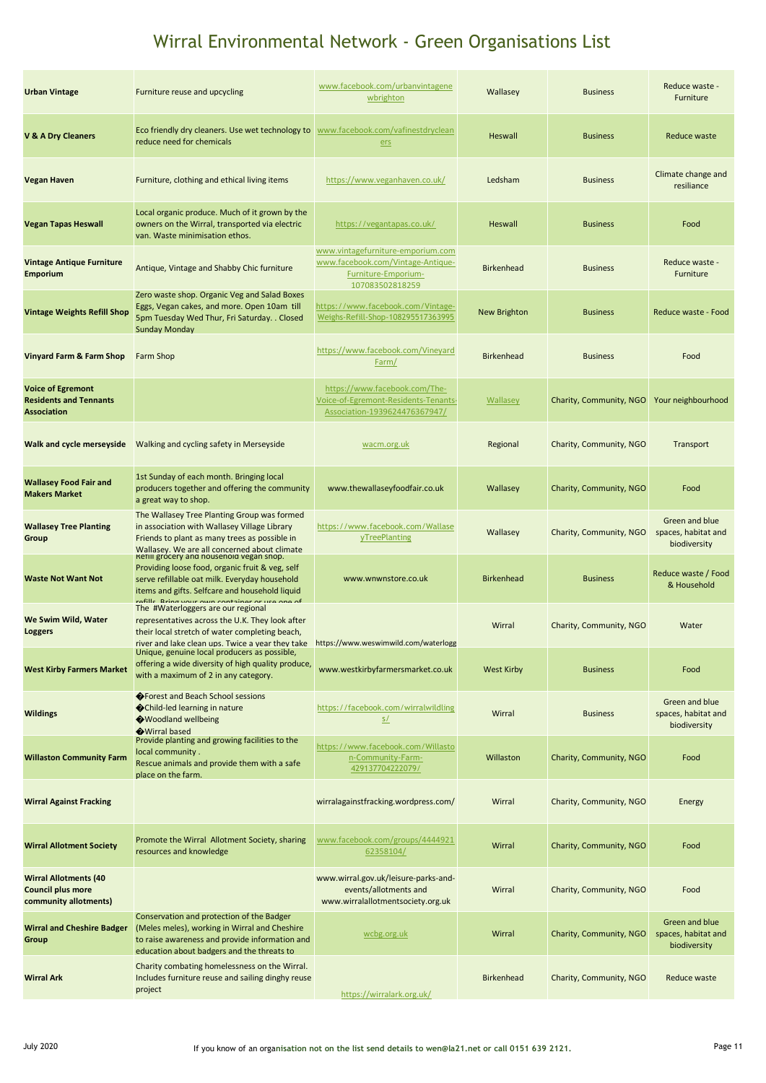| <b>Urban Vintage</b>                                                              | Furniture reuse and upcycling                                                                                                                                                                                                                           | www.facebook.com/urbanvintagene<br>wbrighton                                                                     | Wallasey            | <b>Business</b>         | Reduce waste -<br>Furniture                           |
|-----------------------------------------------------------------------------------|---------------------------------------------------------------------------------------------------------------------------------------------------------------------------------------------------------------------------------------------------------|------------------------------------------------------------------------------------------------------------------|---------------------|-------------------------|-------------------------------------------------------|
| <b>V &amp; A Dry Cleaners</b>                                                     | Eco friendly dry cleaners. Use wet technology to<br>reduce need for chemicals                                                                                                                                                                           | www.facebook.com/vafinestdryclean<br>ers                                                                         | Heswall             | <b>Business</b>         | Reduce waste                                          |
| <b>Vegan Haven</b>                                                                | Furniture, clothing and ethical living items                                                                                                                                                                                                            | https://www.veganhaven.co.uk/                                                                                    | Ledsham             | <b>Business</b>         | Climate change and<br>resiliance                      |
| <b>Vegan Tapas Heswall</b>                                                        | Local organic produce. Much of it grown by the<br>owners on the Wirral, transported via electric<br>van. Waste minimisation ethos.                                                                                                                      | https://vegantapas.co.uk/                                                                                        | <b>Heswall</b>      | <b>Business</b>         | Food                                                  |
| <b>Vintage Antique Furniture</b><br><b>Emporium</b>                               | Antique, Vintage and Shabby Chic furniture                                                                                                                                                                                                              | www.vintagefurniture-emporium.com<br>www.facebook.com/Vintage-Antique-<br>Furniture-Emporium-<br>107083502818259 | <b>Birkenhead</b>   | <b>Business</b>         | Reduce waste -<br>Furniture                           |
| <b>Vintage Weights Refill Shop</b>                                                | Zero waste shop. Organic Veg and Salad Boxes<br>Eggs, Vegan cakes, and more. Open 10am till<br>5pm Tuesday Wed Thur, Fri Saturday. . Closed<br><b>Sunday Monday</b>                                                                                     | https://www.facebook.com/Vintage-<br>Weighs-Refill-Shop-108295517363995                                          | <b>New Brighton</b> | <b>Business</b>         | Reduce waste - Food                                   |
| Vinyard Farm & Farm Shop                                                          | <b>Farm Shop</b>                                                                                                                                                                                                                                        | https://www.facebook.com/Vineyard<br>Farm/                                                                       | <b>Birkenhead</b>   | <b>Business</b>         | Food                                                  |
| <b>Voice of Egremont</b><br><b>Residents and Tennants</b><br><b>Association</b>   |                                                                                                                                                                                                                                                         | https://www.facebook.com/The-<br>Voice-of-Egremont-Residents-Tenants-<br>Association-1939624476367947/           | Wallasey            | Charity, Community, NGO | Your neighbourhood                                    |
| Walk and cycle merseyside                                                         | Walking and cycling safety in Merseyside                                                                                                                                                                                                                | wacm.org.uk                                                                                                      | Regional            | Charity, Community, NGO | Transport                                             |
| <b>Wallasey Food Fair and</b><br><b>Makers Market</b>                             | 1st Sunday of each month. Bringing local<br>producers together and offering the community<br>a great way to shop.                                                                                                                                       | www.thewallaseyfoodfair.co.uk                                                                                    | Wallasey            | Charity, Community, NGO | Food                                                  |
| <b>Wallasey Tree Planting</b><br>Group                                            | The Wallasey Tree Planting Group was formed<br>in association with Wallasey Village Library<br>Friends to plant as many trees as possible in                                                                                                            | https://www.facebook.com/Wallase<br>yTreePlanting                                                                | Wallasey            | Charity, Community, NGO | Green and blue<br>spaces, habitat and<br>biodiversity |
| <b>Waste Not Want Not</b>                                                         | Wallasey. We are all concerned about climate<br>Refili grocery and household vegan shop.<br>Providing loose food, organic fruit & veg, self<br>serve refillable oat milk. Everyday household<br>items and gifts. Selfcare and household liquid          | www.wnwnstore.co.uk                                                                                              | <b>Birkenhead</b>   | <b>Business</b>         | Reduce waste / Food<br>& Household                    |
| We Swim Wild, Water<br>Loggers                                                    | <b>Rring vour own container or use one of</b><br>rofille<br>The #Waterloggers are our regional<br>representatives across the U.K. They look after<br>their local stretch of water completing beach,<br>river and lake clean ups. Twice a year they take | https://www.weswimwild.com/waterlogg                                                                             | Wirral              | Charity, Community, NGO | Water                                                 |
| <b>West Kirby Farmers Market</b>                                                  | Unique, genuine local producers as possible,<br>offering a wide diversity of high quality produce,<br>with a maximum of 2 in any category.                                                                                                              | www.westkirbyfarmersmarket.co.uk                                                                                 | <b>West Kirby</b>   | <b>Business</b>         | Food                                                  |
| <b>Wildings</b>                                                                   | ♦ Forest and Beach School sessions<br>Child-led learning in nature<br>Woodland wellbeing<br>Wirral based                                                                                                                                                | https://facebook.com/wirralwildling<br>S/L                                                                       | Wirral              | <b>Business</b>         | Green and blue<br>spaces, habitat and<br>biodiversity |
| <b>Willaston Community Farm</b>                                                   | Provide planting and growing facilities to the<br>local community.<br>Rescue animals and provide them with a safe<br>place on the farm.                                                                                                                 | https://www.facebook.com/Willasto<br>n-Community-Farm-<br>429137704222079/                                       | Willaston           | Charity, Community, NGO | Food                                                  |
| <b>Wirral Against Fracking</b>                                                    |                                                                                                                                                                                                                                                         | wirralagainstfracking.wordpress.com/                                                                             | Wirral              | Charity, Community, NGO | Energy                                                |
| <b>Wirral Allotment Society</b>                                                   | Promote the Wirral Allotment Society, sharing<br>resources and knowledge                                                                                                                                                                                | www.facebook.com/groups/4444921<br>62358104/                                                                     | Wirral              | Charity, Community, NGO | Food                                                  |
| <b>Wirral Allotments (40</b><br><b>Council plus more</b><br>community allotments) |                                                                                                                                                                                                                                                         | www.wirral.gov.uk/leisure-parks-and-<br>events/allotments and<br>www.wirralallotmentsociety.org.uk               | Wirral              | Charity, Community, NGO | Food                                                  |
| <b>Wirral and Cheshire Badger</b><br>Group                                        | Conservation and protection of the Badger<br>(Meles meles), working in Wirral and Cheshire<br>to raise awareness and provide information and<br>education about badgers and the threats to                                                              | wcbg.org.uk                                                                                                      | Wirral              | Charity, Community, NGO | Green and blue<br>spaces, habitat and<br>biodiversity |
| <b>Wirral Ark</b>                                                                 | Charity combating homelessness on the Wirral.<br>Includes furniture reuse and sailing dinghy reuse<br>project                                                                                                                                           | https://wirralark.org.uk/                                                                                        | <b>Birkenhead</b>   | Charity, Community, NGO | Reduce waste                                          |
|                                                                                   |                                                                                                                                                                                                                                                         |                                                                                                                  |                     |                         |                                                       |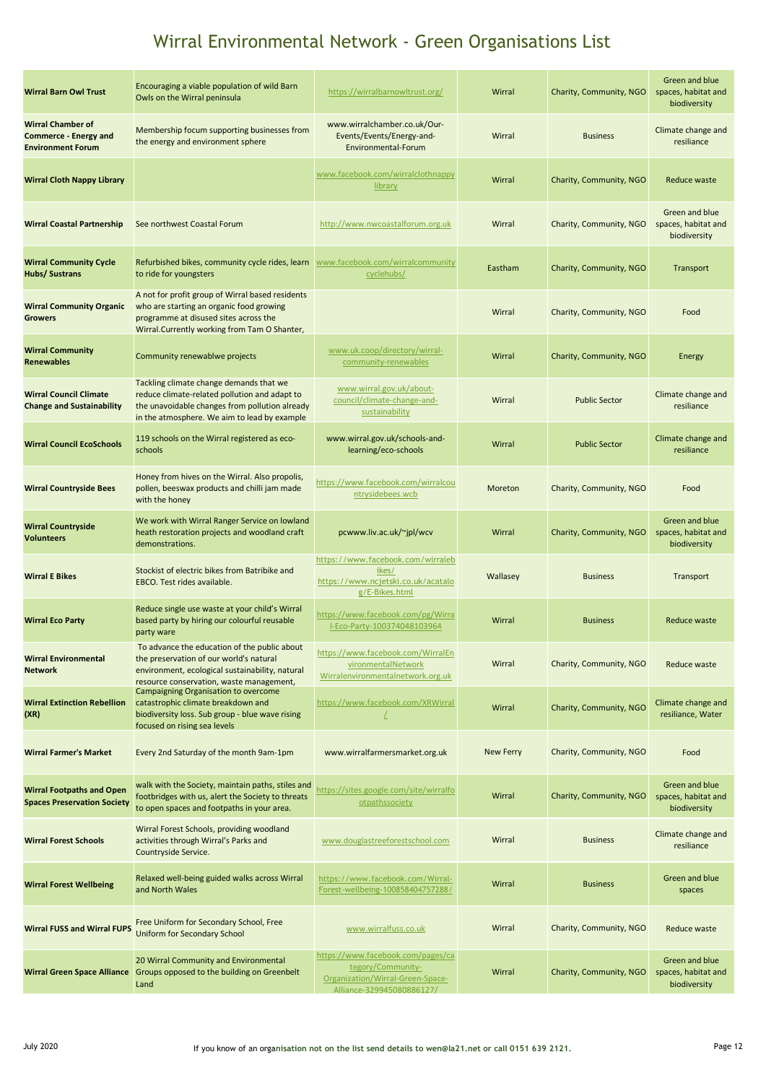| <b>Wirral Chamber of</b><br>www.wirralchamber.co.uk/Our-<br>Membership focum supporting businesses from<br>Climate change and<br>Wirral<br>Events/Events/Energy-and-<br><b>Business</b><br><b>Commerce - Energy and</b><br>the energy and environment sphere<br>resiliance<br>Environmental-Forum<br><b>Environment Forum</b><br>www.facebook.com/wirralclothnappy<br>Wirral<br>Charity, Community, NGO<br><b>Wirral Cloth Nappy Library</b><br>Reduce waste<br><b>library</b><br>Green and blue<br>spaces, habitat and<br><b>Wirral Coastal Partnership</b><br>See northwest Coastal Forum<br>http://www.nwcoastalforum.org.uk<br>Wirral<br>Charity, Community, NGO<br>biodiversity<br><b>Wirral Community Cycle</b><br>Refurbished bikes, community cycle rides, learn<br>www.facebook.com/wirralcommunity<br>Eastham<br>Charity, Community, NGO<br>Transport<br>Hubs/ Sustrans<br>to ride for youngsters<br>cyclehubs/<br>A not for profit group of Wirral based residents<br><b>Wirral Community Organic</b><br>who are starting an organic food growing<br>Wirral<br>Charity, Community, NGO<br>Food<br><b>Growers</b><br>programme at disused sites across the<br>Wirral Currently working from Tam O Shanter.<br>www.uk.coop/directory/wirral-<br><b>Wirral Community</b><br>Wirral<br>Charity, Community, NGO<br>Community renewablwe projects<br>Energy<br>community-renewables<br><b>Renewables</b><br>Tackling climate change demands that we<br>www.wirral.gov.uk/about-<br><b>Wirral Council Climate</b><br>reduce climate-related pollution and adapt to<br>Climate change and<br>council/climate-change-and-<br>Wirral<br><b>Public Sector</b><br><b>Change and Sustainability</b><br>the unavoidable changes from pollution already<br>resiliance<br>sustainability<br>in the atmosphere. We aim to lead by example<br>119 schools on the Wirral registered as eco-<br>www.wirral.gov.uk/schools-and-<br>Climate change and<br><b>Wirral Council EcoSchools</b><br>Wirral<br><b>Public Sector</b><br>learning/eco-schools<br>resiliance<br>schools<br>Honey from hives on the Wirral. Also propolis,<br>https://www.facebook.com/wirralcou<br>pollen, beeswax products and chilli jam made<br>Charity, Community, NGO<br><b>Wirral Countryside Bees</b><br>Moreton<br>Food<br>ntrysidebees.wcb<br>with the honey<br>Green and blue<br>We work with Wirral Ranger Service on lowland<br><b>Wirral Countryside</b><br>Charity, Community, NGO<br>heath restoration projects and woodland craft<br>pcwww.liv.ac.uk/~jpl/wcv<br>Wirral<br>spaces, habitat and<br><b>Volunteers</b><br>demonstrations.<br>biodiversity<br>https://www.facebook.com/wirraleb<br>Stockist of electric bikes from Batribike and<br>ikes/<br><b>Wirral E Bikes</b><br>Wallasey<br><b>Business</b><br>Transport<br>https://www.ncjetski.co.uk/acatalo<br>EBCO. Test rides available.<br>g/E-Bikes.html<br>Reduce single use waste at your child's Wirral<br>https://www.facebook.com/pg/Wirra<br>based party by hiring our colourful reusable<br>Wirral<br><b>Wirral Eco Party</b><br><b>Business</b><br>Reduce waste<br>I-Eco-Party-100374048103964<br>party ware<br>To advance the education of the public about<br>https://www.facebook.com/WirralEn<br><b>Wirral Environmental</b><br>the preservation of our world's natural<br>vironmentalNetwork<br>Wirral<br>Charity, Community, NGO<br>Reduce waste<br><b>Network</b><br>environment, ecological sustainability, natural<br>Wirralenvironmentalnetwork.org.uk<br>resource conservation, waste management,<br>Campaigning Organisation to overcome<br><b>Wirral Extinction Rebellion</b><br>Climate change and<br>catastrophic climate breakdown and<br>https://www.facebook.com/XRWirral<br>Charity, Community, NGO<br>Wirral<br>resiliance, Water<br>(XR)<br>biodiversity loss. Sub group - blue wave rising<br>focused on rising sea levels<br>Every 2nd Saturday of the month 9am-1pm<br>www.wirralfarmersmarket.org.uk<br><b>New Ferry</b><br>Charity, Community, NGO<br><b>Wirral Farmer's Market</b><br>Food<br>Green and blue<br>walk with the Society, maintain paths, stiles and<br>https://sites.google.com/site/wirralfo<br><b>Wirral Footpaths and Open</b><br>footbridges with us, alert the Society to threats<br>Wirral<br>Charity, Community, NGO<br>spaces, habitat and<br>otpathssociety<br><b>Spaces Preservation Society</b><br>to open spaces and footpaths in your area.<br>biodiversity<br>Wirral Forest Schools, providing woodland<br>Climate change and<br><b>Wirral Forest Schools</b><br>activities through Wirral's Parks and<br>www.douglastreeforestschool.com<br>Wirral<br><b>Business</b><br>resiliance<br>Countryside Service.<br>Relaxed well-being guided walks across Wirral<br>Green and blue<br>https://www.facebook.com/Wirral-<br>Wirral<br><b>Wirral Forest Wellbeing</b><br><b>Business</b><br>Forest-wellbeing-100858404757288/<br>and North Wales<br>spaces<br>Free Uniform for Secondary School, Free<br><b>Wirral FUSS and Wirral FUPS</b><br>www.wirralfuss.co.uk<br>Wirral<br>Charity, Community, NGO<br>Reduce waste<br>Uniform for Secondary School<br>https://www.facebook.com/pages/ca<br>20 Wirral Community and Environmental<br>Green and blue<br>tegory/Community-<br>Groups opposed to the building on Greenbelt<br>Wirral<br>Charity, Community, NGO<br>spaces, habitat and<br><b>Wirral Green Space Alliance</b><br>Organization/Wirral-Green-Space-<br>Land<br>biodiversity<br>Alliance-329945080886127/ | <b>Wirral Barn Owl Trust</b> | Encouraging a viable population of wild Barn<br>Owls on the Wirral peninsula | https://wirralbarnowltrust.org/ | Wirral | Charity, Community, NGO | Green and blue<br>spaces, habitat and<br>biodiversity |
|----------------------------------------------------------------------------------------------------------------------------------------------------------------------------------------------------------------------------------------------------------------------------------------------------------------------------------------------------------------------------------------------------------------------------------------------------------------------------------------------------------------------------------------------------------------------------------------------------------------------------------------------------------------------------------------------------------------------------------------------------------------------------------------------------------------------------------------------------------------------------------------------------------------------------------------------------------------------------------------------------------------------------------------------------------------------------------------------------------------------------------------------------------------------------------------------------------------------------------------------------------------------------------------------------------------------------------------------------------------------------------------------------------------------------------------------------------------------------------------------------------------------------------------------------------------------------------------------------------------------------------------------------------------------------------------------------------------------------------------------------------------------------------------------------------------------------------------------------------------------------------------------------------------------------------------------------------------------------------------------------------------------------------------------------------------------------------------------------------------------------------------------------------------------------------------------------------------------------------------------------------------------------------------------------------------------------------------------------------------------------------------------------------------------------------------------------------------------------------------------------------------------------------------------------------------------------------------------------------------------------------------------------------------------------------------------------------------------------------------------------------------------------------------------------------------------------------------------------------------------------------------------------------------------------------------------------------------------------------------------------------------------------------------------------------------------------------------------------------------------------------------------------------------------------------------------------------------------------------------------------------------------------------------------------------------------------------------------------------------------------------------------------------------------------------------------------------------------------------------------------------------------------------------------------------------------------------------------------------------------------------------------------------------------------------------------------------------------------------------------------------------------------------------------------------------------------------------------------------------------------------------------------------------------------------------------------------------------------------------------------------------------------------------------------------------------------------------------------------------------------------------------------------------------------------------------------------------------------------------------------------------------------------------------------------------------------------------------------------------------------------------------------------------------------------------------------------------------------------------------------------------------------------------------------------------------------------------------------------------------------------------------------------------------------------------------------------------------------------------------------------------------------------------------------------------------------------------------------------------------------------------------------------------------------------------------------------------------------------------------------------------------------------------------------------------------------------------------------------------------------------------------------------------------------------------------------------------------------------------------------------------------------------------------------------------------------------------------------------------------------------------------------------------------------------------------------------------------------------------------------------------------|------------------------------|------------------------------------------------------------------------------|---------------------------------|--------|-------------------------|-------------------------------------------------------|
|                                                                                                                                                                                                                                                                                                                                                                                                                                                                                                                                                                                                                                                                                                                                                                                                                                                                                                                                                                                                                                                                                                                                                                                                                                                                                                                                                                                                                                                                                                                                                                                                                                                                                                                                                                                                                                                                                                                                                                                                                                                                                                                                                                                                                                                                                                                                                                                                                                                                                                                                                                                                                                                                                                                                                                                                                                                                                                                                                                                                                                                                                                                                                                                                                                                                                                                                                                                                                                                                                                                                                                                                                                                                                                                                                                                                                                                                                                                                                                                                                                                                                                                                                                                                                                                                                                                                                                                                                                                                                                                                                                                                                                                                                                                                                                                                                                                                                                                                                                                                                                                                                                                                                                                                                                                                                                                                                                                                                                                                                                                      |                              |                                                                              |                                 |        |                         |                                                       |
|                                                                                                                                                                                                                                                                                                                                                                                                                                                                                                                                                                                                                                                                                                                                                                                                                                                                                                                                                                                                                                                                                                                                                                                                                                                                                                                                                                                                                                                                                                                                                                                                                                                                                                                                                                                                                                                                                                                                                                                                                                                                                                                                                                                                                                                                                                                                                                                                                                                                                                                                                                                                                                                                                                                                                                                                                                                                                                                                                                                                                                                                                                                                                                                                                                                                                                                                                                                                                                                                                                                                                                                                                                                                                                                                                                                                                                                                                                                                                                                                                                                                                                                                                                                                                                                                                                                                                                                                                                                                                                                                                                                                                                                                                                                                                                                                                                                                                                                                                                                                                                                                                                                                                                                                                                                                                                                                                                                                                                                                                                                      |                              |                                                                              |                                 |        |                         |                                                       |
|                                                                                                                                                                                                                                                                                                                                                                                                                                                                                                                                                                                                                                                                                                                                                                                                                                                                                                                                                                                                                                                                                                                                                                                                                                                                                                                                                                                                                                                                                                                                                                                                                                                                                                                                                                                                                                                                                                                                                                                                                                                                                                                                                                                                                                                                                                                                                                                                                                                                                                                                                                                                                                                                                                                                                                                                                                                                                                                                                                                                                                                                                                                                                                                                                                                                                                                                                                                                                                                                                                                                                                                                                                                                                                                                                                                                                                                                                                                                                                                                                                                                                                                                                                                                                                                                                                                                                                                                                                                                                                                                                                                                                                                                                                                                                                                                                                                                                                                                                                                                                                                                                                                                                                                                                                                                                                                                                                                                                                                                                                                      |                              |                                                                              |                                 |        |                         |                                                       |
|                                                                                                                                                                                                                                                                                                                                                                                                                                                                                                                                                                                                                                                                                                                                                                                                                                                                                                                                                                                                                                                                                                                                                                                                                                                                                                                                                                                                                                                                                                                                                                                                                                                                                                                                                                                                                                                                                                                                                                                                                                                                                                                                                                                                                                                                                                                                                                                                                                                                                                                                                                                                                                                                                                                                                                                                                                                                                                                                                                                                                                                                                                                                                                                                                                                                                                                                                                                                                                                                                                                                                                                                                                                                                                                                                                                                                                                                                                                                                                                                                                                                                                                                                                                                                                                                                                                                                                                                                                                                                                                                                                                                                                                                                                                                                                                                                                                                                                                                                                                                                                                                                                                                                                                                                                                                                                                                                                                                                                                                                                                      |                              |                                                                              |                                 |        |                         |                                                       |
|                                                                                                                                                                                                                                                                                                                                                                                                                                                                                                                                                                                                                                                                                                                                                                                                                                                                                                                                                                                                                                                                                                                                                                                                                                                                                                                                                                                                                                                                                                                                                                                                                                                                                                                                                                                                                                                                                                                                                                                                                                                                                                                                                                                                                                                                                                                                                                                                                                                                                                                                                                                                                                                                                                                                                                                                                                                                                                                                                                                                                                                                                                                                                                                                                                                                                                                                                                                                                                                                                                                                                                                                                                                                                                                                                                                                                                                                                                                                                                                                                                                                                                                                                                                                                                                                                                                                                                                                                                                                                                                                                                                                                                                                                                                                                                                                                                                                                                                                                                                                                                                                                                                                                                                                                                                                                                                                                                                                                                                                                                                      |                              |                                                                              |                                 |        |                         |                                                       |
|                                                                                                                                                                                                                                                                                                                                                                                                                                                                                                                                                                                                                                                                                                                                                                                                                                                                                                                                                                                                                                                                                                                                                                                                                                                                                                                                                                                                                                                                                                                                                                                                                                                                                                                                                                                                                                                                                                                                                                                                                                                                                                                                                                                                                                                                                                                                                                                                                                                                                                                                                                                                                                                                                                                                                                                                                                                                                                                                                                                                                                                                                                                                                                                                                                                                                                                                                                                                                                                                                                                                                                                                                                                                                                                                                                                                                                                                                                                                                                                                                                                                                                                                                                                                                                                                                                                                                                                                                                                                                                                                                                                                                                                                                                                                                                                                                                                                                                                                                                                                                                                                                                                                                                                                                                                                                                                                                                                                                                                                                                                      |                              |                                                                              |                                 |        |                         |                                                       |
|                                                                                                                                                                                                                                                                                                                                                                                                                                                                                                                                                                                                                                                                                                                                                                                                                                                                                                                                                                                                                                                                                                                                                                                                                                                                                                                                                                                                                                                                                                                                                                                                                                                                                                                                                                                                                                                                                                                                                                                                                                                                                                                                                                                                                                                                                                                                                                                                                                                                                                                                                                                                                                                                                                                                                                                                                                                                                                                                                                                                                                                                                                                                                                                                                                                                                                                                                                                                                                                                                                                                                                                                                                                                                                                                                                                                                                                                                                                                                                                                                                                                                                                                                                                                                                                                                                                                                                                                                                                                                                                                                                                                                                                                                                                                                                                                                                                                                                                                                                                                                                                                                                                                                                                                                                                                                                                                                                                                                                                                                                                      |                              |                                                                              |                                 |        |                         |                                                       |
|                                                                                                                                                                                                                                                                                                                                                                                                                                                                                                                                                                                                                                                                                                                                                                                                                                                                                                                                                                                                                                                                                                                                                                                                                                                                                                                                                                                                                                                                                                                                                                                                                                                                                                                                                                                                                                                                                                                                                                                                                                                                                                                                                                                                                                                                                                                                                                                                                                                                                                                                                                                                                                                                                                                                                                                                                                                                                                                                                                                                                                                                                                                                                                                                                                                                                                                                                                                                                                                                                                                                                                                                                                                                                                                                                                                                                                                                                                                                                                                                                                                                                                                                                                                                                                                                                                                                                                                                                                                                                                                                                                                                                                                                                                                                                                                                                                                                                                                                                                                                                                                                                                                                                                                                                                                                                                                                                                                                                                                                                                                      |                              |                                                                              |                                 |        |                         |                                                       |
|                                                                                                                                                                                                                                                                                                                                                                                                                                                                                                                                                                                                                                                                                                                                                                                                                                                                                                                                                                                                                                                                                                                                                                                                                                                                                                                                                                                                                                                                                                                                                                                                                                                                                                                                                                                                                                                                                                                                                                                                                                                                                                                                                                                                                                                                                                                                                                                                                                                                                                                                                                                                                                                                                                                                                                                                                                                                                                                                                                                                                                                                                                                                                                                                                                                                                                                                                                                                                                                                                                                                                                                                                                                                                                                                                                                                                                                                                                                                                                                                                                                                                                                                                                                                                                                                                                                                                                                                                                                                                                                                                                                                                                                                                                                                                                                                                                                                                                                                                                                                                                                                                                                                                                                                                                                                                                                                                                                                                                                                                                                      |                              |                                                                              |                                 |        |                         |                                                       |
|                                                                                                                                                                                                                                                                                                                                                                                                                                                                                                                                                                                                                                                                                                                                                                                                                                                                                                                                                                                                                                                                                                                                                                                                                                                                                                                                                                                                                                                                                                                                                                                                                                                                                                                                                                                                                                                                                                                                                                                                                                                                                                                                                                                                                                                                                                                                                                                                                                                                                                                                                                                                                                                                                                                                                                                                                                                                                                                                                                                                                                                                                                                                                                                                                                                                                                                                                                                                                                                                                                                                                                                                                                                                                                                                                                                                                                                                                                                                                                                                                                                                                                                                                                                                                                                                                                                                                                                                                                                                                                                                                                                                                                                                                                                                                                                                                                                                                                                                                                                                                                                                                                                                                                                                                                                                                                                                                                                                                                                                                                                      |                              |                                                                              |                                 |        |                         |                                                       |
|                                                                                                                                                                                                                                                                                                                                                                                                                                                                                                                                                                                                                                                                                                                                                                                                                                                                                                                                                                                                                                                                                                                                                                                                                                                                                                                                                                                                                                                                                                                                                                                                                                                                                                                                                                                                                                                                                                                                                                                                                                                                                                                                                                                                                                                                                                                                                                                                                                                                                                                                                                                                                                                                                                                                                                                                                                                                                                                                                                                                                                                                                                                                                                                                                                                                                                                                                                                                                                                                                                                                                                                                                                                                                                                                                                                                                                                                                                                                                                                                                                                                                                                                                                                                                                                                                                                                                                                                                                                                                                                                                                                                                                                                                                                                                                                                                                                                                                                                                                                                                                                                                                                                                                                                                                                                                                                                                                                                                                                                                                                      |                              |                                                                              |                                 |        |                         |                                                       |
|                                                                                                                                                                                                                                                                                                                                                                                                                                                                                                                                                                                                                                                                                                                                                                                                                                                                                                                                                                                                                                                                                                                                                                                                                                                                                                                                                                                                                                                                                                                                                                                                                                                                                                                                                                                                                                                                                                                                                                                                                                                                                                                                                                                                                                                                                                                                                                                                                                                                                                                                                                                                                                                                                                                                                                                                                                                                                                                                                                                                                                                                                                                                                                                                                                                                                                                                                                                                                                                                                                                                                                                                                                                                                                                                                                                                                                                                                                                                                                                                                                                                                                                                                                                                                                                                                                                                                                                                                                                                                                                                                                                                                                                                                                                                                                                                                                                                                                                                                                                                                                                                                                                                                                                                                                                                                                                                                                                                                                                                                                                      |                              |                                                                              |                                 |        |                         |                                                       |
|                                                                                                                                                                                                                                                                                                                                                                                                                                                                                                                                                                                                                                                                                                                                                                                                                                                                                                                                                                                                                                                                                                                                                                                                                                                                                                                                                                                                                                                                                                                                                                                                                                                                                                                                                                                                                                                                                                                                                                                                                                                                                                                                                                                                                                                                                                                                                                                                                                                                                                                                                                                                                                                                                                                                                                                                                                                                                                                                                                                                                                                                                                                                                                                                                                                                                                                                                                                                                                                                                                                                                                                                                                                                                                                                                                                                                                                                                                                                                                                                                                                                                                                                                                                                                                                                                                                                                                                                                                                                                                                                                                                                                                                                                                                                                                                                                                                                                                                                                                                                                                                                                                                                                                                                                                                                                                                                                                                                                                                                                                                      |                              |                                                                              |                                 |        |                         |                                                       |
|                                                                                                                                                                                                                                                                                                                                                                                                                                                                                                                                                                                                                                                                                                                                                                                                                                                                                                                                                                                                                                                                                                                                                                                                                                                                                                                                                                                                                                                                                                                                                                                                                                                                                                                                                                                                                                                                                                                                                                                                                                                                                                                                                                                                                                                                                                                                                                                                                                                                                                                                                                                                                                                                                                                                                                                                                                                                                                                                                                                                                                                                                                                                                                                                                                                                                                                                                                                                                                                                                                                                                                                                                                                                                                                                                                                                                                                                                                                                                                                                                                                                                                                                                                                                                                                                                                                                                                                                                                                                                                                                                                                                                                                                                                                                                                                                                                                                                                                                                                                                                                                                                                                                                                                                                                                                                                                                                                                                                                                                                                                      |                              |                                                                              |                                 |        |                         |                                                       |
|                                                                                                                                                                                                                                                                                                                                                                                                                                                                                                                                                                                                                                                                                                                                                                                                                                                                                                                                                                                                                                                                                                                                                                                                                                                                                                                                                                                                                                                                                                                                                                                                                                                                                                                                                                                                                                                                                                                                                                                                                                                                                                                                                                                                                                                                                                                                                                                                                                                                                                                                                                                                                                                                                                                                                                                                                                                                                                                                                                                                                                                                                                                                                                                                                                                                                                                                                                                                                                                                                                                                                                                                                                                                                                                                                                                                                                                                                                                                                                                                                                                                                                                                                                                                                                                                                                                                                                                                                                                                                                                                                                                                                                                                                                                                                                                                                                                                                                                                                                                                                                                                                                                                                                                                                                                                                                                                                                                                                                                                                                                      |                              |                                                                              |                                 |        |                         |                                                       |
|                                                                                                                                                                                                                                                                                                                                                                                                                                                                                                                                                                                                                                                                                                                                                                                                                                                                                                                                                                                                                                                                                                                                                                                                                                                                                                                                                                                                                                                                                                                                                                                                                                                                                                                                                                                                                                                                                                                                                                                                                                                                                                                                                                                                                                                                                                                                                                                                                                                                                                                                                                                                                                                                                                                                                                                                                                                                                                                                                                                                                                                                                                                                                                                                                                                                                                                                                                                                                                                                                                                                                                                                                                                                                                                                                                                                                                                                                                                                                                                                                                                                                                                                                                                                                                                                                                                                                                                                                                                                                                                                                                                                                                                                                                                                                                                                                                                                                                                                                                                                                                                                                                                                                                                                                                                                                                                                                                                                                                                                                                                      |                              |                                                                              |                                 |        |                         |                                                       |
|                                                                                                                                                                                                                                                                                                                                                                                                                                                                                                                                                                                                                                                                                                                                                                                                                                                                                                                                                                                                                                                                                                                                                                                                                                                                                                                                                                                                                                                                                                                                                                                                                                                                                                                                                                                                                                                                                                                                                                                                                                                                                                                                                                                                                                                                                                                                                                                                                                                                                                                                                                                                                                                                                                                                                                                                                                                                                                                                                                                                                                                                                                                                                                                                                                                                                                                                                                                                                                                                                                                                                                                                                                                                                                                                                                                                                                                                                                                                                                                                                                                                                                                                                                                                                                                                                                                                                                                                                                                                                                                                                                                                                                                                                                                                                                                                                                                                                                                                                                                                                                                                                                                                                                                                                                                                                                                                                                                                                                                                                                                      |                              |                                                                              |                                 |        |                         |                                                       |
|                                                                                                                                                                                                                                                                                                                                                                                                                                                                                                                                                                                                                                                                                                                                                                                                                                                                                                                                                                                                                                                                                                                                                                                                                                                                                                                                                                                                                                                                                                                                                                                                                                                                                                                                                                                                                                                                                                                                                                                                                                                                                                                                                                                                                                                                                                                                                                                                                                                                                                                                                                                                                                                                                                                                                                                                                                                                                                                                                                                                                                                                                                                                                                                                                                                                                                                                                                                                                                                                                                                                                                                                                                                                                                                                                                                                                                                                                                                                                                                                                                                                                                                                                                                                                                                                                                                                                                                                                                                                                                                                                                                                                                                                                                                                                                                                                                                                                                                                                                                                                                                                                                                                                                                                                                                                                                                                                                                                                                                                                                                      |                              |                                                                              |                                 |        |                         |                                                       |
|                                                                                                                                                                                                                                                                                                                                                                                                                                                                                                                                                                                                                                                                                                                                                                                                                                                                                                                                                                                                                                                                                                                                                                                                                                                                                                                                                                                                                                                                                                                                                                                                                                                                                                                                                                                                                                                                                                                                                                                                                                                                                                                                                                                                                                                                                                                                                                                                                                                                                                                                                                                                                                                                                                                                                                                                                                                                                                                                                                                                                                                                                                                                                                                                                                                                                                                                                                                                                                                                                                                                                                                                                                                                                                                                                                                                                                                                                                                                                                                                                                                                                                                                                                                                                                                                                                                                                                                                                                                                                                                                                                                                                                                                                                                                                                                                                                                                                                                                                                                                                                                                                                                                                                                                                                                                                                                                                                                                                                                                                                                      |                              |                                                                              |                                 |        |                         |                                                       |
|                                                                                                                                                                                                                                                                                                                                                                                                                                                                                                                                                                                                                                                                                                                                                                                                                                                                                                                                                                                                                                                                                                                                                                                                                                                                                                                                                                                                                                                                                                                                                                                                                                                                                                                                                                                                                                                                                                                                                                                                                                                                                                                                                                                                                                                                                                                                                                                                                                                                                                                                                                                                                                                                                                                                                                                                                                                                                                                                                                                                                                                                                                                                                                                                                                                                                                                                                                                                                                                                                                                                                                                                                                                                                                                                                                                                                                                                                                                                                                                                                                                                                                                                                                                                                                                                                                                                                                                                                                                                                                                                                                                                                                                                                                                                                                                                                                                                                                                                                                                                                                                                                                                                                                                                                                                                                                                                                                                                                                                                                                                      |                              |                                                                              |                                 |        |                         |                                                       |